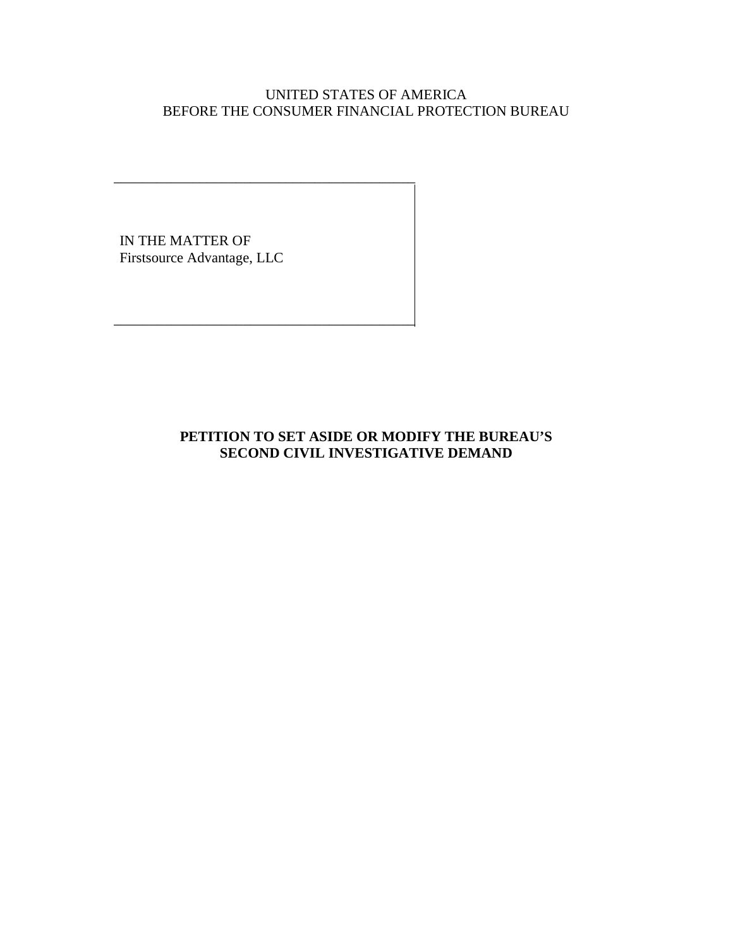# UNITED STATES OF AMERICA BEFORE THE CONSUMER FINANCIAL PROTECTION BUREAU

IN THE MATTER OF Firstsource Advantage, LLC

\_\_\_\_\_\_\_\_\_\_\_\_\_\_\_\_\_\_\_\_\_\_\_\_\_\_\_\_\_\_\_\_\_\_\_\_\_\_\_\_\_\_

\_\_\_\_\_\_\_\_\_\_\_\_\_\_\_\_\_\_\_\_\_\_\_\_\_\_\_\_\_\_\_\_\_\_\_\_\_\_\_\_\_\_

# **PETITION TO SET ASIDE OR MODIFY THE BUREAU'S SECOND CIVIL INVESTIGATIVE DEMAND**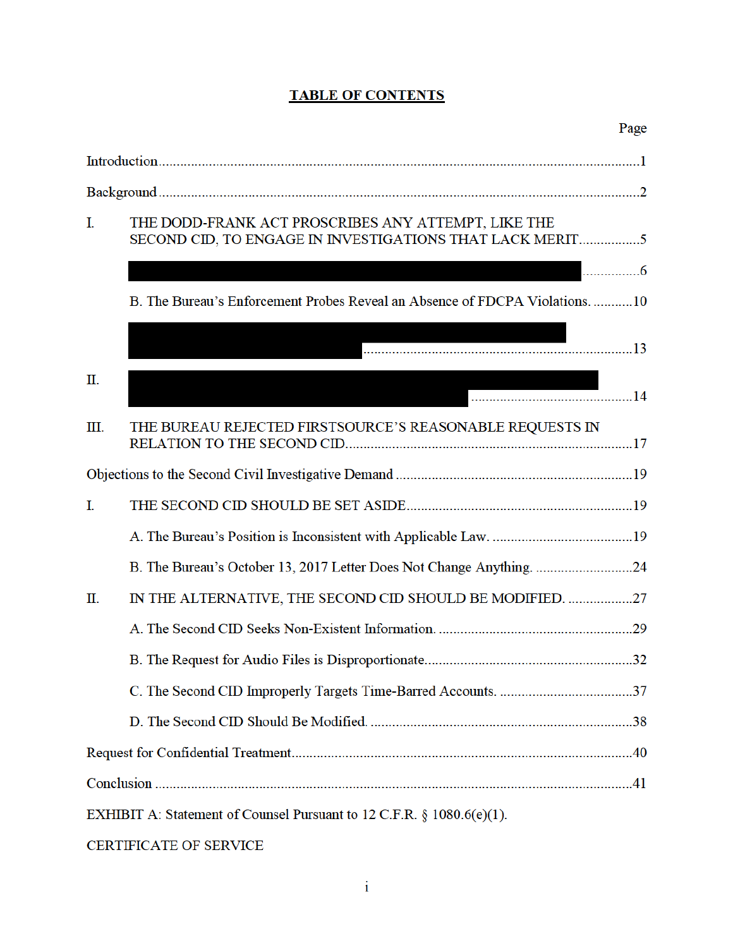# **TABLE OF CONTENTS**

|                |                                                                                                                 | Page |
|----------------|-----------------------------------------------------------------------------------------------------------------|------|
|                |                                                                                                                 |      |
|                |                                                                                                                 |      |
| I.             | THE DODD-FRANK ACT PROSCRIBES ANY ATTEMPT, LIKE THE<br>SECOND CID, TO ENGAGE IN INVESTIGATIONS THAT LACK MERIT5 |      |
|                |                                                                                                                 |      |
|                | B. The Bureau's Enforcement Probes Reveal an Absence of FDCPA Violations10                                      |      |
|                |                                                                                                                 |      |
| П.             |                                                                                                                 |      |
| Ш.             | THE BUREAU REJECTED FIRSTSOURCE'S REASONABLE REQUESTS IN                                                        |      |
|                |                                                                                                                 |      |
| $\mathbf{I}$ . |                                                                                                                 |      |
|                |                                                                                                                 |      |
|                |                                                                                                                 |      |
| П.             | IN THE ALTERNATIVE, THE SECOND CID SHOULD BE MODIFIED. 27                                                       |      |
|                |                                                                                                                 |      |
|                |                                                                                                                 |      |
|                |                                                                                                                 |      |
|                |                                                                                                                 |      |
|                |                                                                                                                 |      |
|                |                                                                                                                 |      |
|                | EXHIBIT A: Statement of Counsel Pursuant to 12 C.F.R. § 1080.6(e)(1).                                           |      |
|                | CERTIFICATE OF SERVICE                                                                                          |      |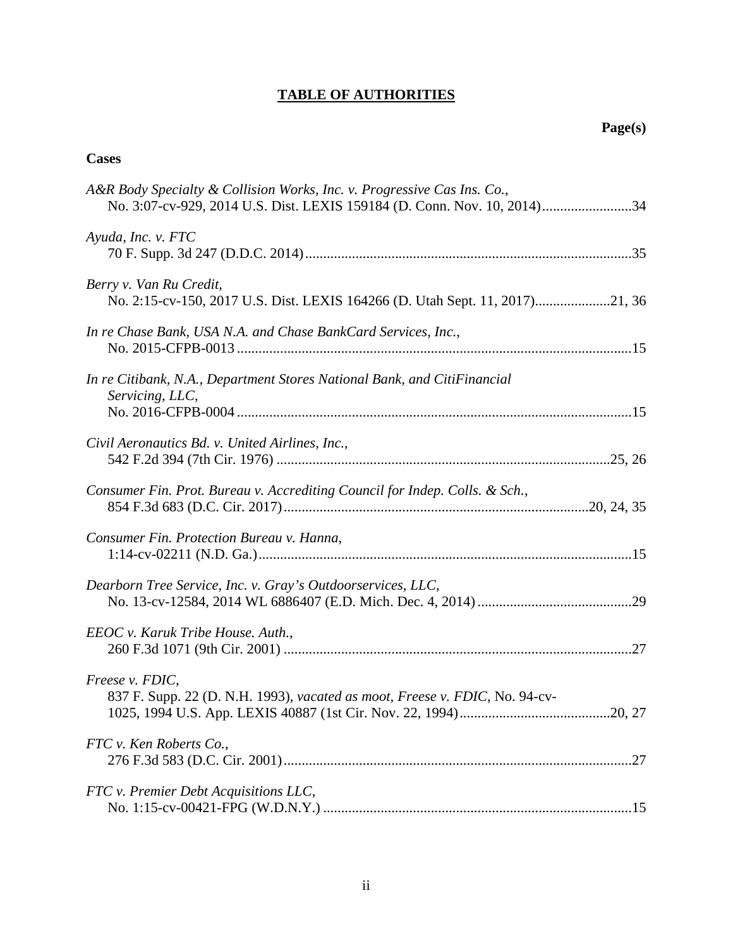# **TABLE OF AUTHORITIES**

# **Cases**

| A&R Body Specialty & Collision Works, Inc. v. Progressive Cas Ins. Co.,<br>No. 3:07-cv-929, 2014 U.S. Dist. LEXIS 159184 (D. Conn. Nov. 10, 2014)34 |     |
|-----------------------------------------------------------------------------------------------------------------------------------------------------|-----|
| Ayuda, Inc. v. FTC                                                                                                                                  |     |
| Berry v. Van Ru Credit,<br>No. 2:15-cv-150, 2017 U.S. Dist. LEXIS 164266 (D. Utah Sept. 11, 2017)21, 36                                             |     |
| In re Chase Bank, USA N.A. and Chase BankCard Services, Inc.,                                                                                       |     |
| In re Citibank, N.A., Department Stores National Bank, and CitiFinancial<br>Servicing, LLC,                                                         |     |
| Civil Aeronautics Bd. v. United Airlines, Inc.,                                                                                                     |     |
| Consumer Fin. Prot. Bureau v. Accrediting Council for Indep. Colls. & Sch.,                                                                         |     |
| Consumer Fin. Protection Bureau v. Hanna,                                                                                                           |     |
| Dearborn Tree Service, Inc. v. Gray's Outdoorservices, LLC,                                                                                         |     |
| EEOC v. Karuk Tribe House. Auth.,                                                                                                                   |     |
| Freese v. FDIC,<br>837 F. Supp. 22 (D. N.H. 1993), vacated as moot, Freese v. FDIC, No. 94-cv-                                                      |     |
| FTC v. Ken Roberts Co.,                                                                                                                             | .27 |
| FTC v. Premier Debt Acquisitions LLC,                                                                                                               |     |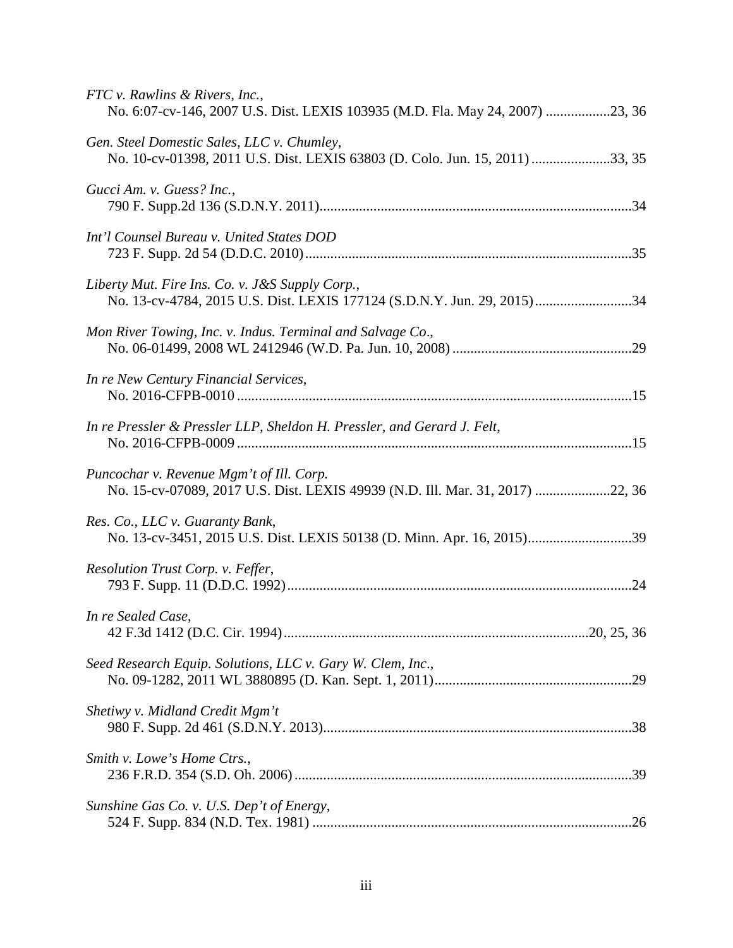| FTC v. Rawlins & Rivers, Inc.,<br>No. 6:07-cv-146, 2007 U.S. Dist. LEXIS 103935 (M.D. Fla. May 24, 2007) 23, 36            |  |
|----------------------------------------------------------------------------------------------------------------------------|--|
| Gen. Steel Domestic Sales, LLC v. Chumley,<br>No. 10-cv-01398, 2011 U.S. Dist. LEXIS 63803 (D. Colo. Jun. 15, 2011) 33, 35 |  |
| Gucci Am. v. Guess? Inc.,                                                                                                  |  |
| Int'l Counsel Bureau v. United States DOD                                                                                  |  |
| Liberty Mut. Fire Ins. Co. v. J&S Supply Corp.,<br>No. 13-cv-4784, 2015 U.S. Dist. LEXIS 177124 (S.D.N.Y. Jun. 29, 2015)34 |  |
| Mon River Towing, Inc. v. Indus. Terminal and Salvage Co.,                                                                 |  |
| In re New Century Financial Services,                                                                                      |  |
| In re Pressler & Pressler LLP, Sheldon H. Pressler, and Gerard J. Felt,                                                    |  |
| Puncochar v. Revenue Mgm't of Ill. Corp.<br>No. 15-cv-07089, 2017 U.S. Dist. LEXIS 49939 (N.D. Ill. Mar. 31, 2017) 22, 36  |  |
| Res. Co., LLC v. Guaranty Bank,<br>No. 13-cv-3451, 2015 U.S. Dist. LEXIS 50138 (D. Minn. Apr. 16, 2015)39                  |  |
| Resolution Trust Corp. v. Feffer,                                                                                          |  |
| In re Sealed Case,                                                                                                         |  |
| Seed Research Equip. Solutions, LLC v. Gary W. Clem, Inc.,                                                                 |  |
| Shetiwy v. Midland Credit Mgm't                                                                                            |  |
| Smith v. Lowe's Home Ctrs.,                                                                                                |  |
| Sunshine Gas Co. v. U.S. Dep't of Energy,                                                                                  |  |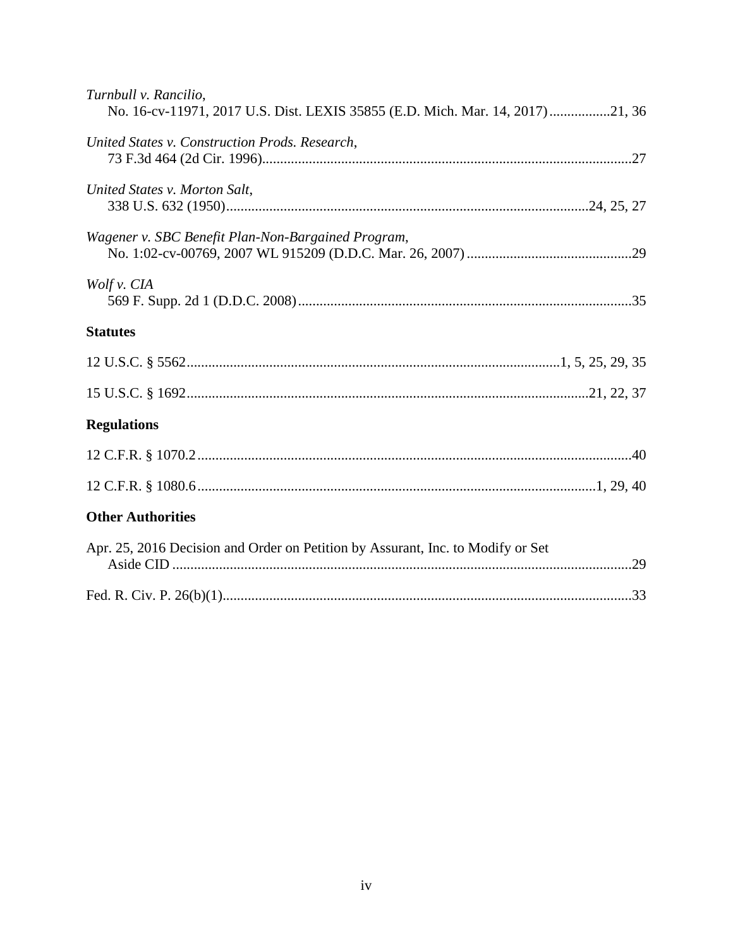| Turnbull v. Rancilio,<br>No. 16-cv-11971, 2017 U.S. Dist. LEXIS 35855 (E.D. Mich. Mar. 14, 2017)21, 36 |  |
|--------------------------------------------------------------------------------------------------------|--|
| United States v. Construction Prods. Research,                                                         |  |
| United States v. Morton Salt,                                                                          |  |
| Wagener v. SBC Benefit Plan-Non-Bargained Program,                                                     |  |
| Wolf v. CIA                                                                                            |  |
| <b>Statutes</b>                                                                                        |  |
|                                                                                                        |  |
|                                                                                                        |  |
| <b>Regulations</b>                                                                                     |  |
|                                                                                                        |  |
|                                                                                                        |  |
| <b>Other Authorities</b>                                                                               |  |
| Apr. 25, 2016 Decision and Order on Petition by Assurant, Inc. to Modify or Set                        |  |
|                                                                                                        |  |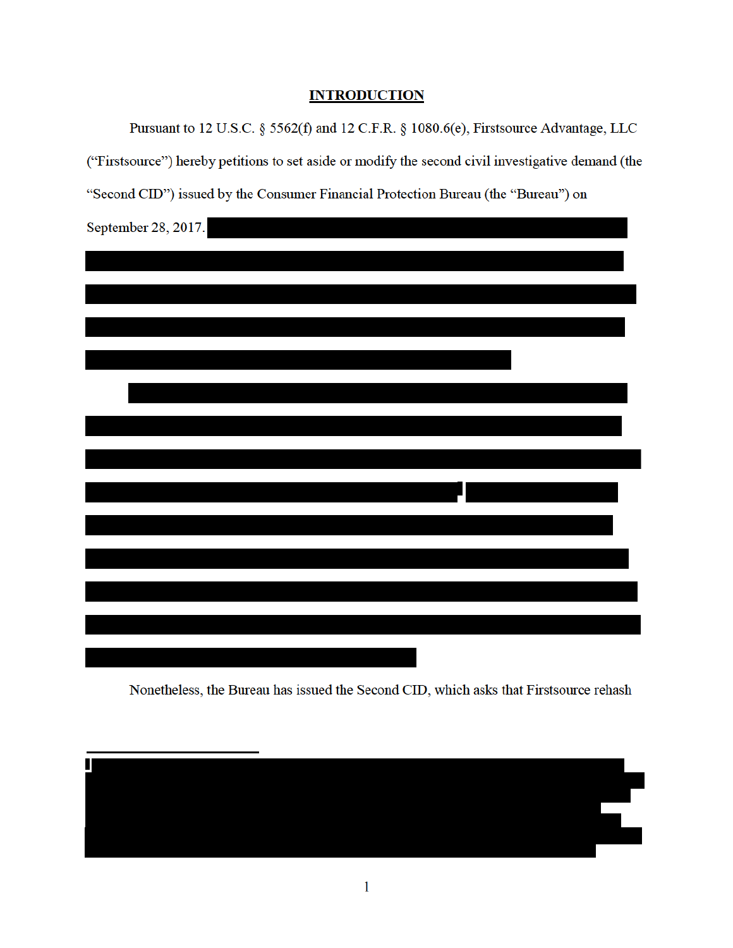# **INTRODUCTION**

Nonetheless, the Bureau has issued the Second CID, which asks that Firstsource rehash

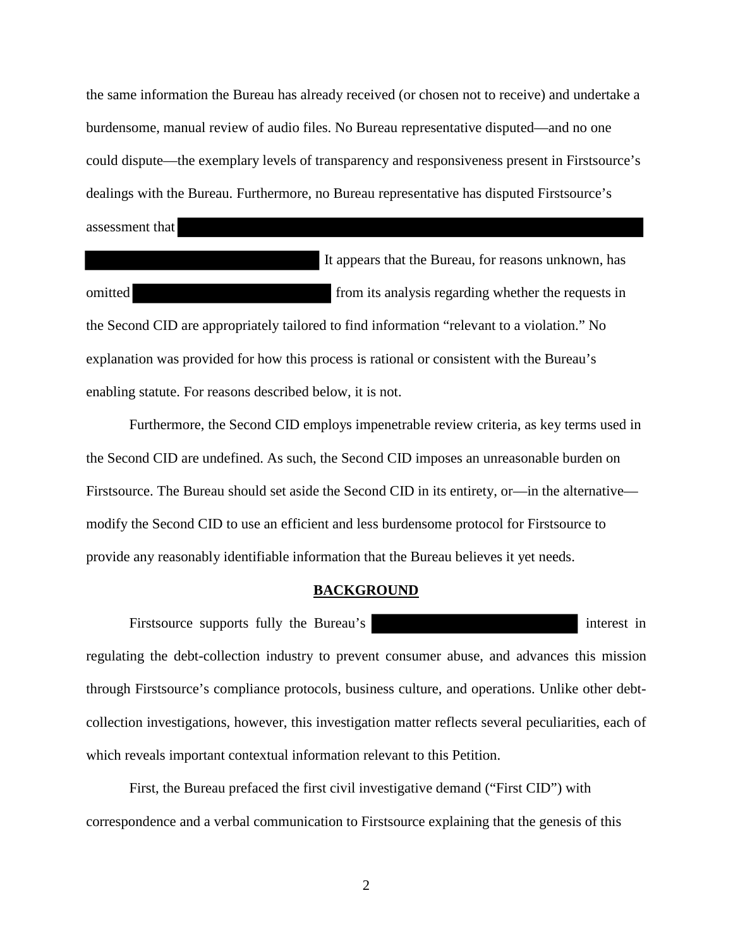the same information the Bureau has already received (or chosen not to receive) and undertake a burdensome, manual review of audio files. No Bureau representative disputed—and no one could dispute—the exemplary levels of transparency and responsiveness present in Firstsource's dealings with the Bureau. Furthermore, no Bureau representative has disputed Firstsource's assessment that

 It appears that the Bureau, for reasons unknown, has omitted from its analysis regarding whether the requests in the Second CID are appropriately tailored to find information "relevant to a violation." No explanation was provided for how this process is rational or consistent with the Bureau's enabling statute. For reasons described below, it is not.

Furthermore, the Second CID employs impenetrable review criteria, as key terms used in the Second CID are undefined. As such, the Second CID imposes an unreasonable burden on Firstsource. The Bureau should set aside the Second CID in its entirety, or—in the alternative modify the Second CID to use an efficient and less burdensome protocol for Firstsource to provide any reasonably identifiable information that the Bureau believes it yet needs.

#### **BACKGROUND**

Firstsource supports fully the Bureau's interest in regulating the debt-collection industry to prevent consumer abuse, and advances this mission through Firstsource's compliance protocols, business culture, and operations. Unlike other debtcollection investigations, however, this investigation matter reflects several peculiarities, each of which reveals important contextual information relevant to this Petition.

First, the Bureau prefaced the first civil investigative demand ("First CID") with correspondence and a verbal communication to Firstsource explaining that the genesis of this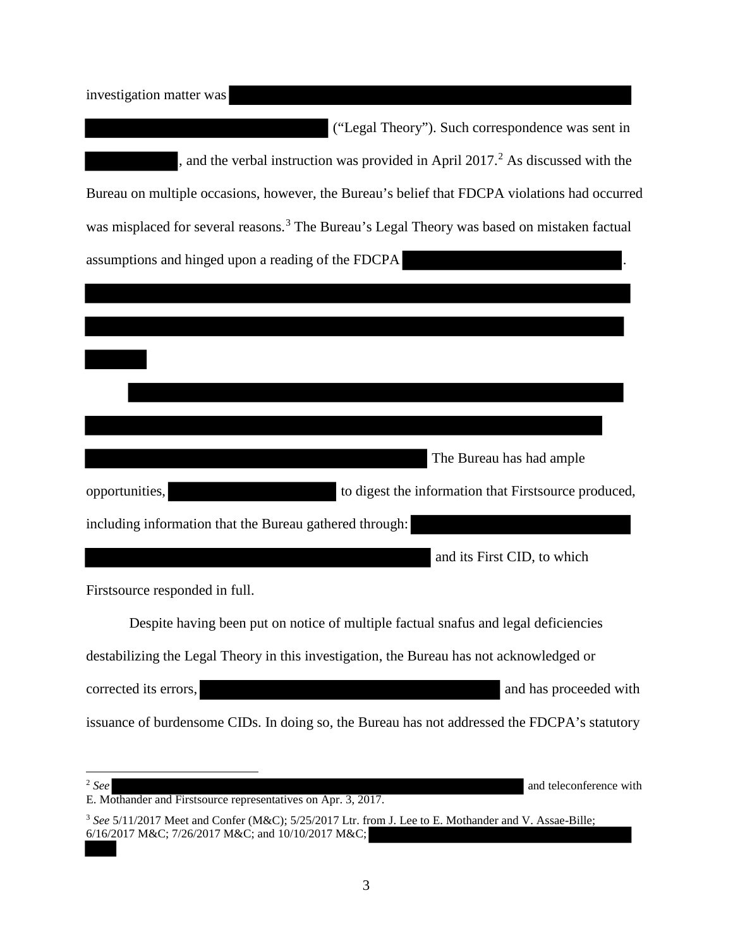| investigation matter was                                                                                |
|---------------------------------------------------------------------------------------------------------|
| ("Legal Theory"). Such correspondence was sent in                                                       |
| , and the verbal instruction was provided in April 2017. <sup>2</sup> As discussed with the             |
| Bureau on multiple occasions, however, the Bureau's belief that FDCPA violations had occurred           |
| was misplaced for several reasons. <sup>3</sup> The Bureau's Legal Theory was based on mistaken factual |
| assumptions and hinged upon a reading of the FDCPA                                                      |
|                                                                                                         |
|                                                                                                         |
|                                                                                                         |
|                                                                                                         |
|                                                                                                         |
| The Bureau has had ample                                                                                |
| to digest the information that Firstsource produced,<br>opportunities,                                  |
| including information that the Bureau gathered through:                                                 |
| and its First CID, to which                                                                             |
| Firstsource responded in full.                                                                          |
| Despite having been put on notice of multiple factual snafus and legal deficiencies                     |
| destabilizing the Legal Theory in this investigation, the Bureau has not acknowledged or                |
| corrected its errors,<br>and has proceeded with                                                         |
| issuance of burdensome CIDs. In doing so, the Bureau has not addressed the FDCPA's statutory            |
|                                                                                                         |
| $2$ See<br>and teleconference with<br>E. Mothander and Firstsource representatives on Apr. 3, 2017.     |

<sup>3</sup> *See* 5/11/2017 Meet and Confer (M&C); 5/25/2017 Ltr. from J. Lee to E. Mothander and V. Assae-Bille; 6/16/2017 M&C; 7/26/2017 M&C; and 10/10/2017 M&C;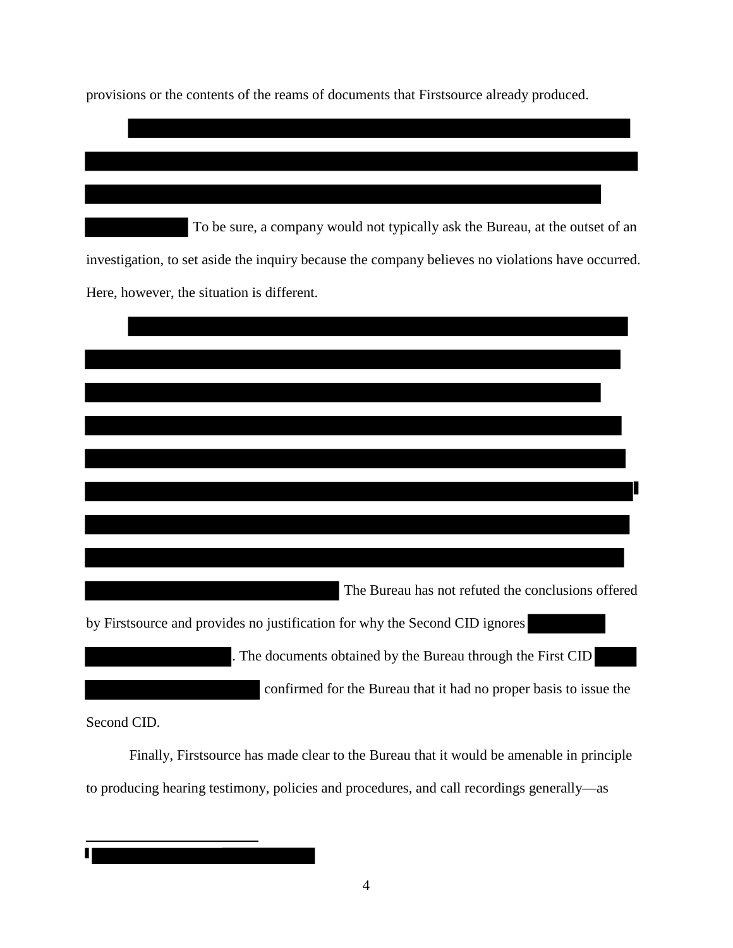provisions or the contents of the reams of documents that Firstsource already produced.

 To be sure, a company would not typically ask the Bureau, at the outset of an investigation, to set aside the inquiry because the company believes no violations have occurred. Here, however, the situation is different.

| The Bureau has not refuted the conclusions offered                          |
|-----------------------------------------------------------------------------|
| by Firstsource and provides no justification for why the Second CID ignores |
| . The documents obtained by the Bureau through the First CID                |
| confirmed for the Bureau that it had no proper basis to issue the           |
| Second CID.                                                                 |

Finally, Firstsource has made clear to the Bureau that it would be amenable in principle to producing hearing testimony, policies and procedures, and call recordings generally—as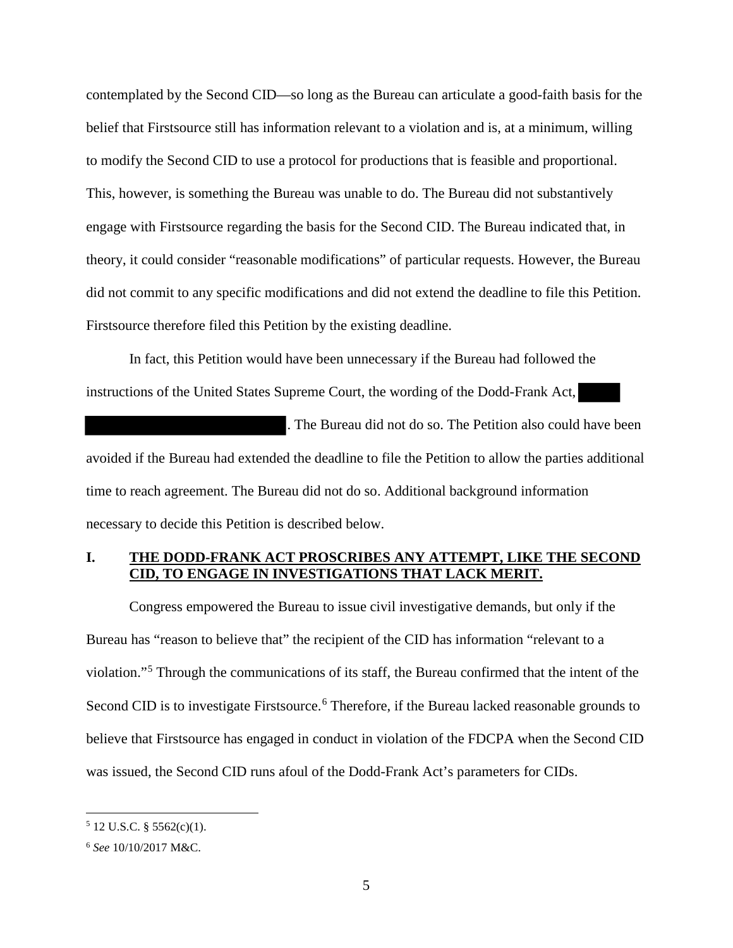contemplated by the Second CID—so long as the Bureau can articulate a good-faith basis for the belief that Firstsource still has information relevant to a violation and is, at a minimum, willing to modify the Second CID to use a protocol for productions that is feasible and proportional. This, however, is something the Bureau was unable to do. The Bureau did not substantively engage with Firstsource regarding the basis for the Second CID. The Bureau indicated that, in theory, it could consider "reasonable modifications" of particular requests. However, the Bureau did not commit to any specific modifications and did not extend the deadline to file this Petition. Firstsource therefore filed this Petition by the existing deadline.

In fact, this Petition would have been unnecessary if the Bureau had followed the instructions of the United States Supreme Court, the wording of the Dodd-Frank Act,

. The Bureau did not do so. The Petition also could have been avoided if the Bureau had extended the deadline to file the Petition to allow the parties additional time to reach agreement. The Bureau did not do so. Additional background information necessary to decide this Petition is described below.

# **I. THE DODD-FRANK ACT PROSCRIBES ANY ATTEMPT, LIKE THE SECOND CID, TO ENGAGE IN INVESTIGATIONS THAT LACK MERIT.**

Congress empowered the Bureau to issue civil investigative demands, but only if the Bureau has "reason to believe that" the recipient of the CID has information "relevant to a violation."<sup>5</sup> Through the communications of its staff, the Bureau confirmed that the intent of the Second CID is to investigate Firstsource.<sup>6</sup> Therefore, if the Bureau lacked reasonable grounds to believe that Firstsource has engaged in conduct in violation of the FDCPA when the Second CID was issued, the Second CID runs afoul of the Dodd-Frank Act's parameters for CIDs.

 $5$  12 U.S.C. § 5562(c)(1).

<sup>6</sup> *See* 10/10/2017 M&C.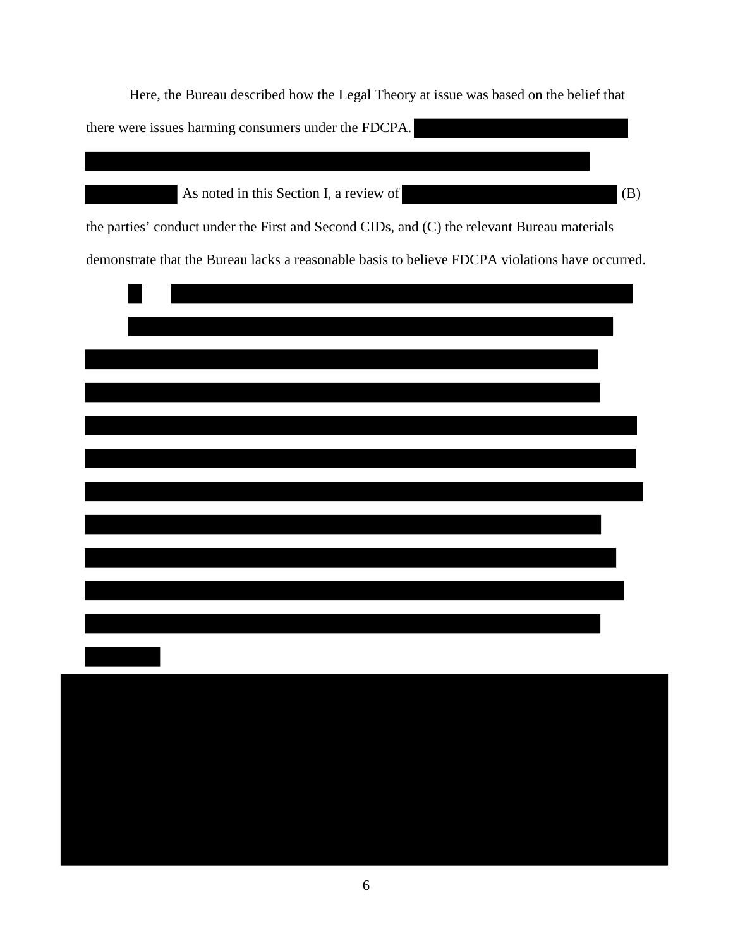Here, the Bureau described how the Legal Theory at issue was based on the belief that there were issues harming consumers under the FDCPA.

| As noted in this Section I, a review of<br>(B)<br>the parties' conduct under the First and Second CIDs, and (C) the relevant Bureau materials<br>demonstrate that the Bureau lacks a reasonable basis to believe FDCPA violations have occurred. |  |  |
|--------------------------------------------------------------------------------------------------------------------------------------------------------------------------------------------------------------------------------------------------|--|--|
|                                                                                                                                                                                                                                                  |  |  |
|                                                                                                                                                                                                                                                  |  |  |
|                                                                                                                                                                                                                                                  |  |  |
|                                                                                                                                                                                                                                                  |  |  |
|                                                                                                                                                                                                                                                  |  |  |
|                                                                                                                                                                                                                                                  |  |  |
|                                                                                                                                                                                                                                                  |  |  |
|                                                                                                                                                                                                                                                  |  |  |
|                                                                                                                                                                                                                                                  |  |  |
|                                                                                                                                                                                                                                                  |  |  |
|                                                                                                                                                                                                                                                  |  |  |
|                                                                                                                                                                                                                                                  |  |  |
|                                                                                                                                                                                                                                                  |  |  |
|                                                                                                                                                                                                                                                  |  |  |
|                                                                                                                                                                                                                                                  |  |  |
|                                                                                                                                                                                                                                                  |  |  |
|                                                                                                                                                                                                                                                  |  |  |
|                                                                                                                                                                                                                                                  |  |  |
|                                                                                                                                                                                                                                                  |  |  |
|                                                                                                                                                                                                                                                  |  |  |
|                                                                                                                                                                                                                                                  |  |  |
|                                                                                                                                                                                                                                                  |  |  |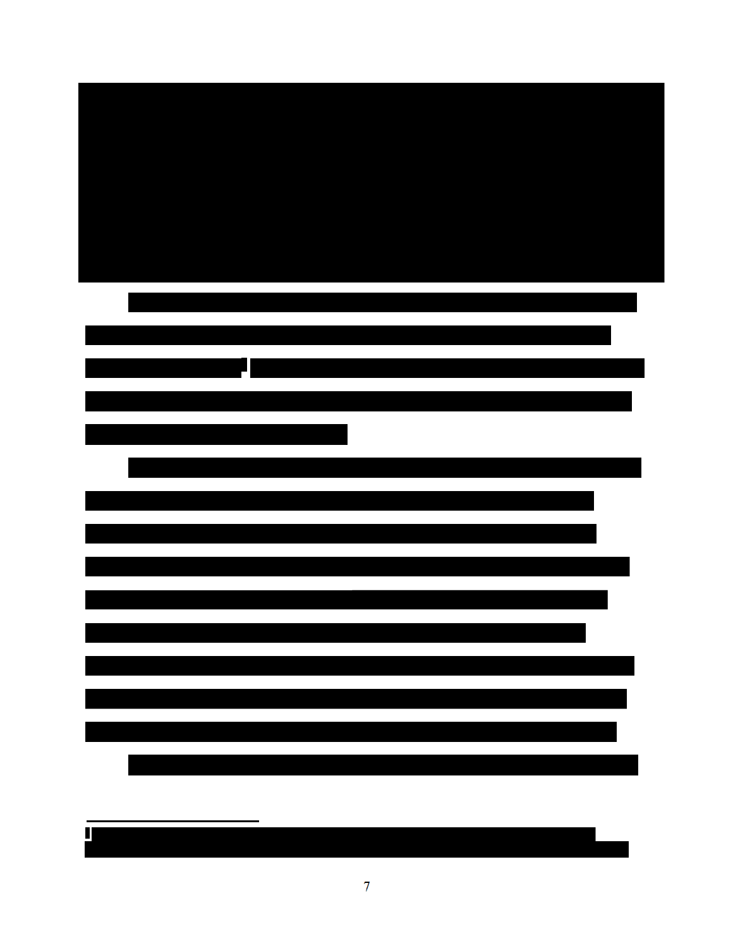y.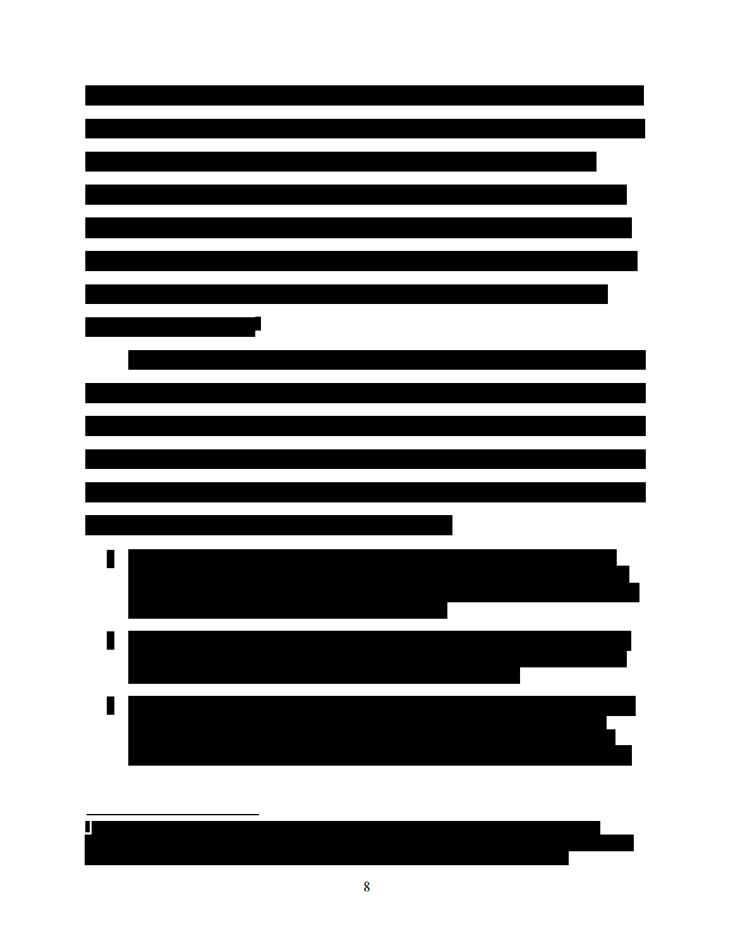| ٠ |  |
|---|--|
|   |  |

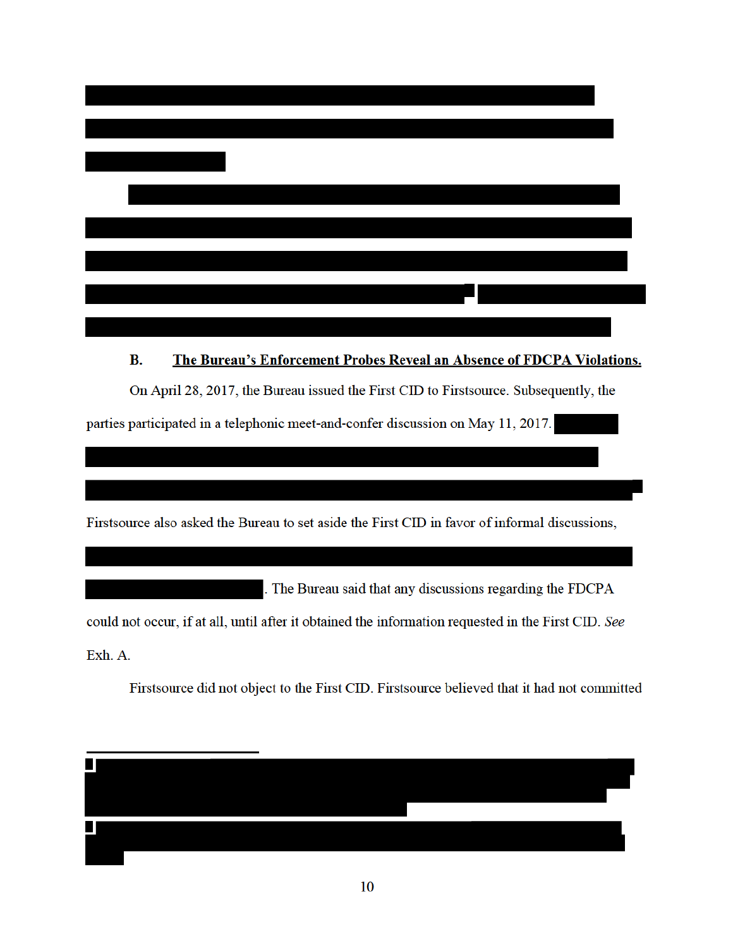#### The Bureau's Enforcement Probes Reveal an Absence of FDCPA Violations. **B.**

On April 28, 2017, the Bureau issued the First CID to Firstsource. Subsequently, the

parties participated in a telephonic meet-and-confer discussion on May 11, 2017.

First source also asked the Bureau to set aside the First CID in favor of informal discussions,

. The Bureau said that any discussions regarding the FDCPA

could not occur, if at all, until after it obtained the information requested in the First CID. See

Exh. A.

Firstsource did not object to the First CID. Firstsource believed that it had not committed

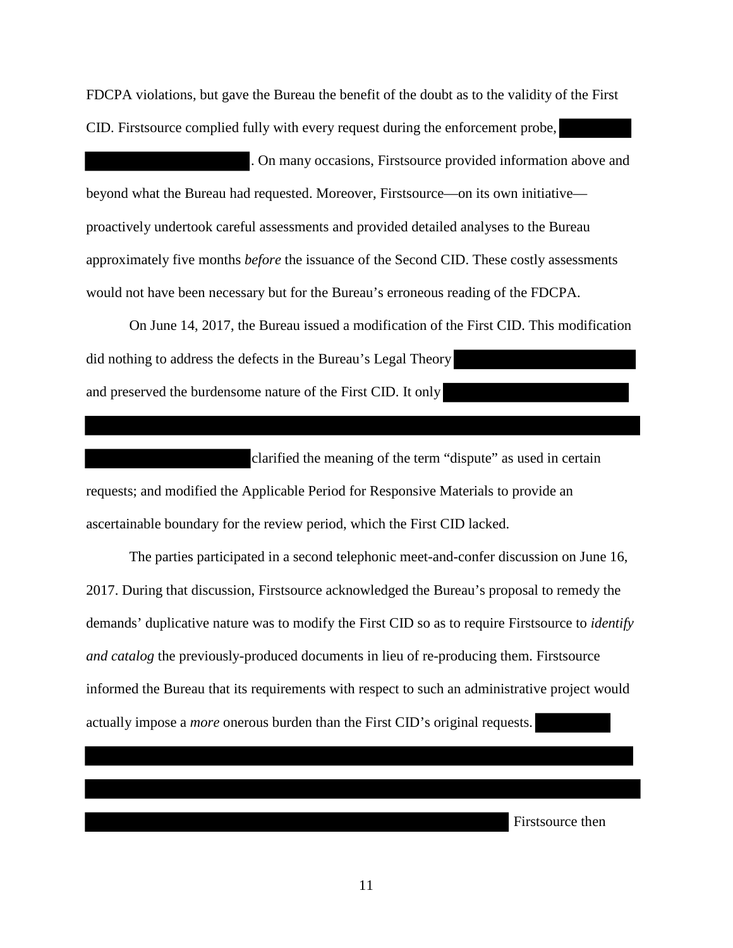FDCPA violations, but gave the Bureau the benefit of the doubt as to the validity of the First CID. Firstsource complied fully with every request during the enforcement probe,

. On many occasions, Firstsource provided information above and beyond what the Bureau had requested. Moreover, Firstsource—on its own initiative proactively undertook careful assessments and provided detailed analyses to the Bureau approximately five months *before* the issuance of the Second CID. These costly assessments would not have been necessary but for the Bureau's erroneous reading of the FDCPA.

On June 14, 2017, the Bureau issued a modification of the First CID. This modification did nothing to address the defects in the Bureau's Legal Theory and preserved the burdensome nature of the First CID. It only

clarified the meaning of the term "dispute" as used in certain requests; and modified the Applicable Period for Responsive Materials to provide an ascertainable boundary for the review period, which the First CID lacked.

The parties participated in a second telephonic meet-and-confer discussion on June 16, 2017. During that discussion, Firstsource acknowledged the Bureau's proposal to remedy the demands' duplicative nature was to modify the First CID so as to require Firstsource to *identify and catalog* the previously-produced documents in lieu of re-producing them. Firstsource informed the Bureau that its requirements with respect to such an administrative project would actually impose a *more* onerous burden than the First CID's original requests.

Firstsource then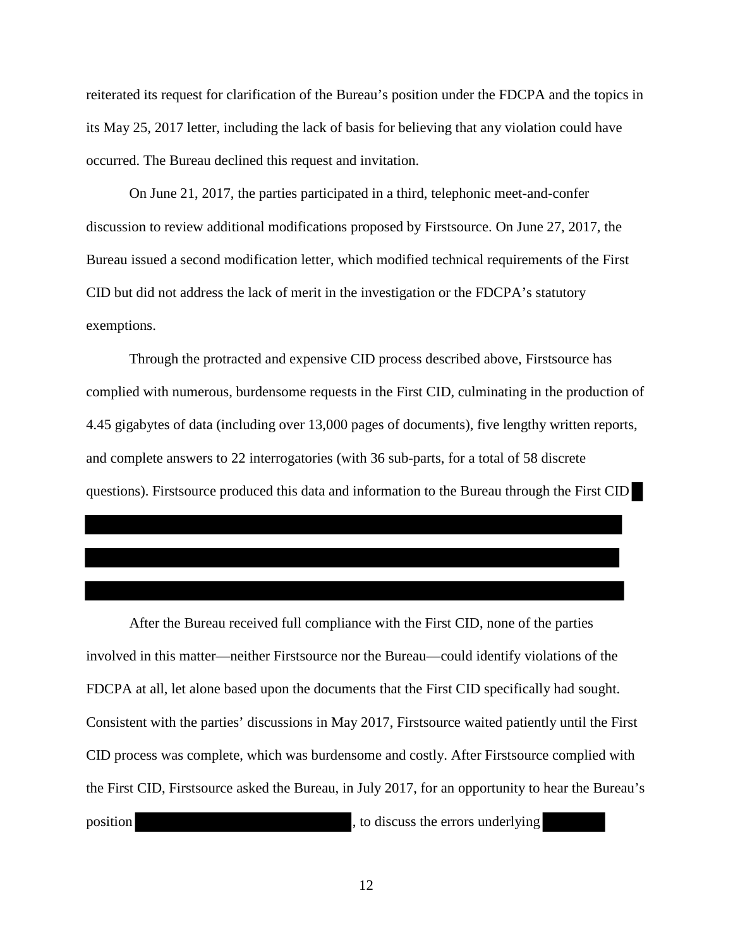reiterated its request for clarification of the Bureau's position under the FDCPA and the topics in its May 25, 2017 letter, including the lack of basis for believing that any violation could have occurred. The Bureau declined this request and invitation.

On June 21, 2017, the parties participated in a third, telephonic meet-and-confer discussion to review additional modifications proposed by Firstsource. On June 27, 2017, the Bureau issued a second modification letter, which modified technical requirements of the First CID but did not address the lack of merit in the investigation or the FDCPA's statutory exemptions.

Through the protracted and expensive CID process described above, Firstsource has complied with numerous, burdensome requests in the First CID, culminating in the production of 4.45 gigabytes of data (including over 13,000 pages of documents), five lengthy written reports, and complete answers to 22 interrogatories (with 36 sub-parts, for a total of 58 discrete questions). Firstsource produced this data and information to the Bureau through the First CID

After the Bureau received full compliance with the First CID, none of the parties involved in this matter—neither Firstsource nor the Bureau—could identify violations of the FDCPA at all, let alone based upon the documents that the First CID specifically had sought. Consistent with the parties' discussions in May 2017, Firstsource waited patiently until the First CID process was complete, which was burdensome and costly. After Firstsource complied with the First CID, Firstsource asked the Bureau, in July 2017, for an opportunity to hear the Bureau's position , to discuss the errors underlying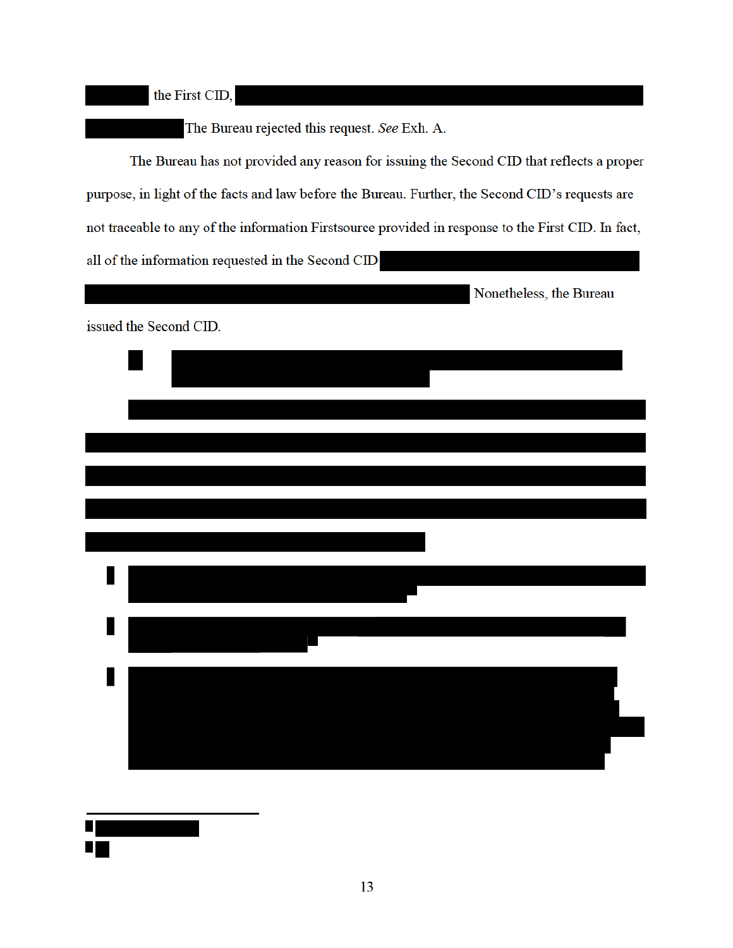the First CID,

The Bureau rejected this request. See Exh. A.

The Bureau has not provided any reason for issuing the Second CID that reflects a proper purpose, in light of the facts and law before the Bureau. Further, the Second CID's requests are not traceable to any of the information Firstsource provided in response to the First CID. In fact, all of the information requested in the Second CID

Nonetheless, the Bureau

issued the Second CID.

| I |  |  |  |
|---|--|--|--|
|   |  |  |  |
|   |  |  |  |
| Г |  |  |  |
|   |  |  |  |
|   |  |  |  |

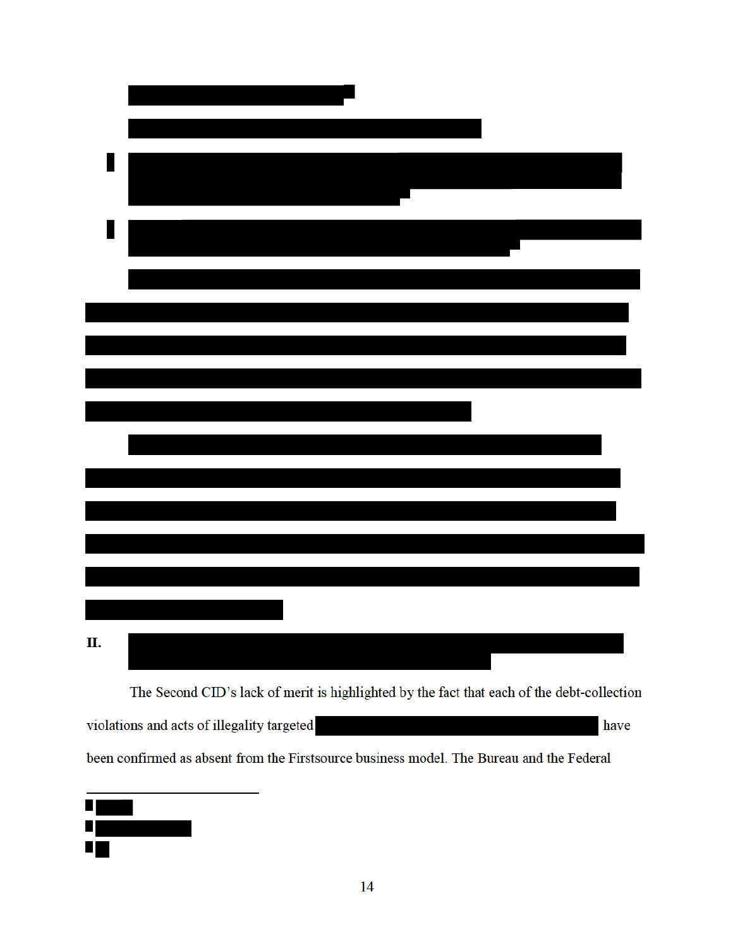| П.                                                                                         |  |
|--------------------------------------------------------------------------------------------|--|
| The Second CID's lack of merit is highlighted by the fact that each of the debt-collection |  |
| violations and acts of illegality targeted<br>have                                         |  |
| been confirmed as absent from the Firstsource business model. The Bureau and the Federal   |  |



 $\overline{\phantom{0}}$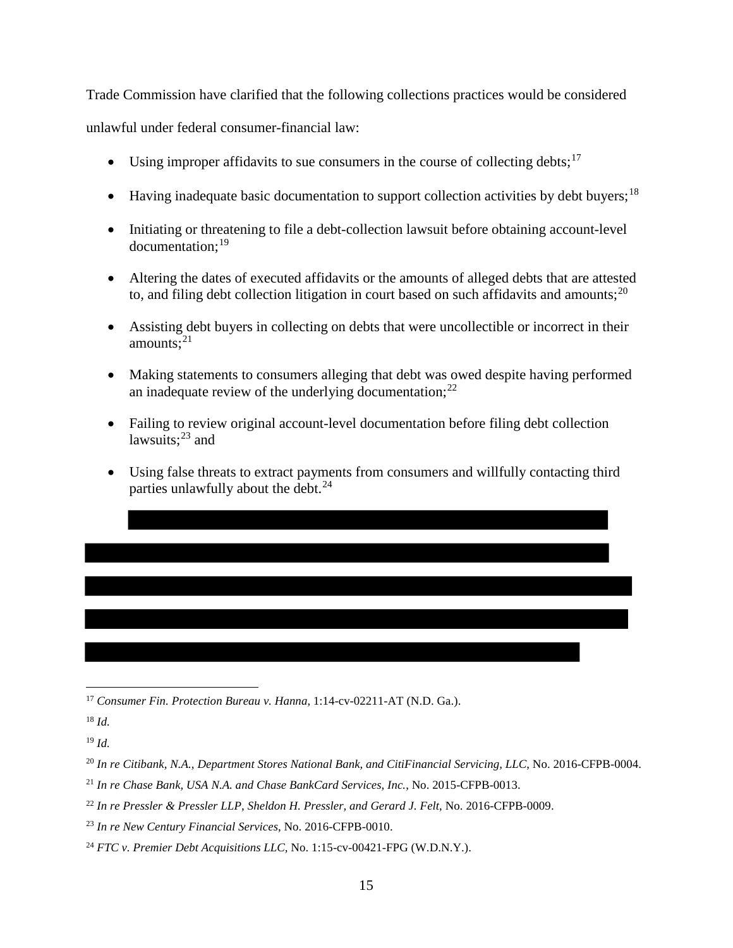Trade Commission have clarified that the following collections practices would be considered

unlawful under federal consumer-financial law:

- Using improper affidavits to sue consumers in the course of collecting debts;  $17$
- Having inadequate basic documentation to support collection activities by debt buyers;<sup>18</sup>
- Initiating or threatening to file a debt-collection lawsuit before obtaining account-level documentation;<sup>19</sup>
- Altering the dates of executed affidavits or the amounts of alleged debts that are attested to, and filing debt collection litigation in court based on such affidavits and amounts; $^{20}$
- Assisting debt buyers in collecting on debts that were uncollectible or incorrect in their amounts; $^{21}$
- Making statements to consumers alleging that debt was owed despite having performed an inadequate review of the underlying documentation; $^{22}$
- Failing to review original account-level documentation before filing debt collection lawsuits; <sup>23</sup> and
- Using false threats to extract payments from consumers and willfully contacting third parties unlawfully about the debt. $^{24}$

- <sup>21</sup> *In re Chase Bank, USA N.A. and Chase BankCard Services, Inc.*, No. 2015-CFPB-0013.
- <sup>22</sup> *In re Pressler & Pressler LLP, Sheldon H. Pressler, and Gerard J. Felt*, No. 2016-CFPB-0009.
- <sup>23</sup> *In re New Century Financial Services*, No. 2016-CFPB-0010.
- <sup>24</sup> *FTC v. Premier Debt Acquisitions LLC,* No. 1:15-cv-00421-FPG (W.D.N.Y.).

 $\overline{a}$ <sup>17</sup> *Consumer Fin. Protection Bureau v. Hanna*, 1:14-cv-02211-AT (N.D. Ga.).

<sup>18</sup> *Id.*

<sup>19</sup> *Id.*

<sup>20</sup> *In re Citibank, N.A., Department Stores National Bank, and CitiFinancial Servicing, LLC*, No. 2016-CFPB-0004.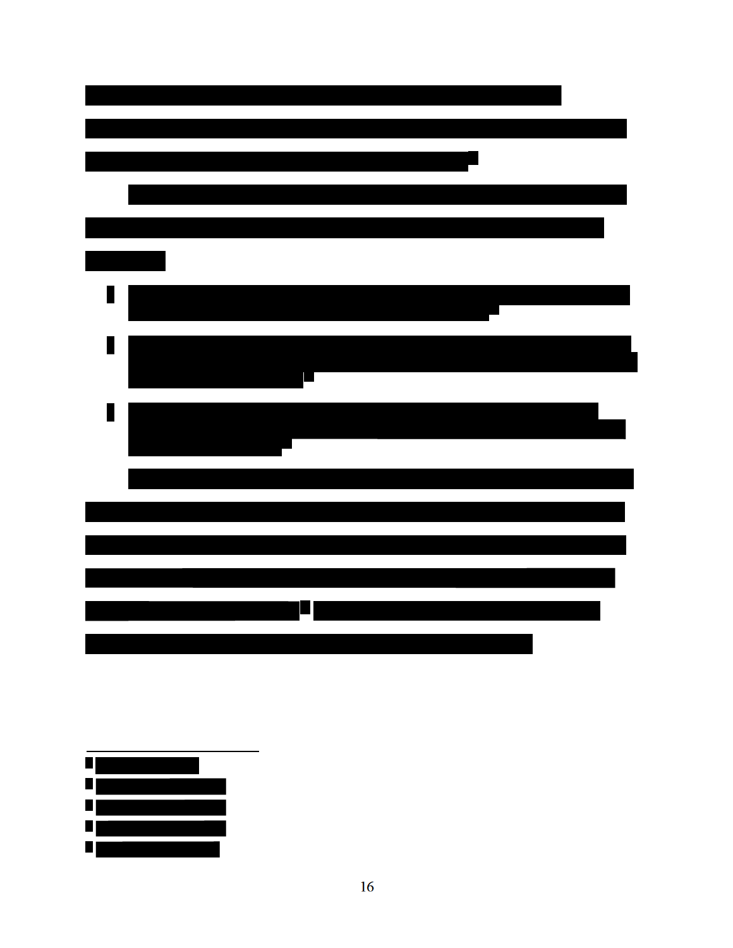| I |  |
|---|--|
| I |  |
|   |  |
|   |  |
|   |  |
|   |  |

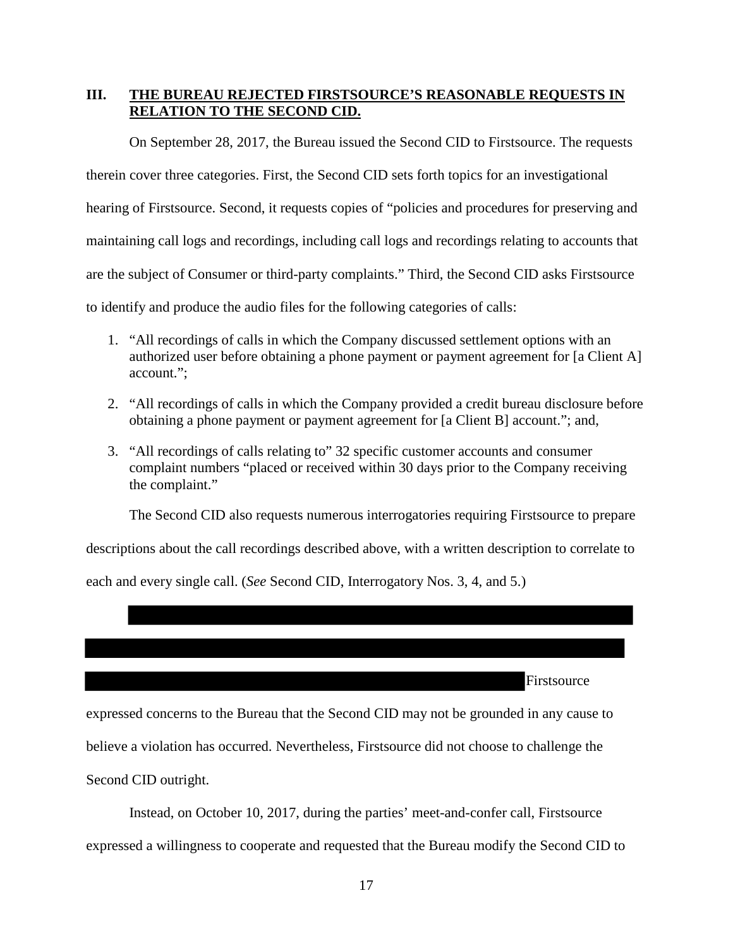# **III. THE BUREAU REJECTED FIRSTSOURCE'S REASONABLE REQUESTS IN RELATION TO THE SECOND CID.**

On September 28, 2017, the Bureau issued the Second CID to Firstsource. The requests therein cover three categories. First, the Second CID sets forth topics for an investigational hearing of Firstsource. Second, it requests copies of "policies and procedures for preserving and maintaining call logs and recordings, including call logs and recordings relating to accounts that are the subject of Consumer or third-party complaints." Third, the Second CID asks Firstsource to identify and produce the audio files for the following categories of calls:

- 1. "All recordings of calls in which the Company discussed settlement options with an authorized user before obtaining a phone payment or payment agreement for [a Client A] account.";
- 2. "All recordings of calls in which the Company provided a credit bureau disclosure before obtaining a phone payment or payment agreement for [a Client B] account."; and,
- 3. "All recordings of calls relating to" 32 specific customer accounts and consumer complaint numbers "placed or received within 30 days prior to the Company receiving the complaint."

The Second CID also requests numerous interrogatories requiring Firstsource to prepare

descriptions about the call recordings described above, with a written description to correlate to

each and every single call. (*See* Second CID, Interrogatory Nos. 3, 4, and 5.)

**Firstsource** 

expressed concerns to the Bureau that the Second CID may not be grounded in any cause to believe a violation has occurred. Nevertheless, Firstsource did not choose to challenge the Second CID outright.

Instead, on October 10, 2017, during the parties' meet-and-confer call, Firstsource expressed a willingness to cooperate and requested that the Bureau modify the Second CID to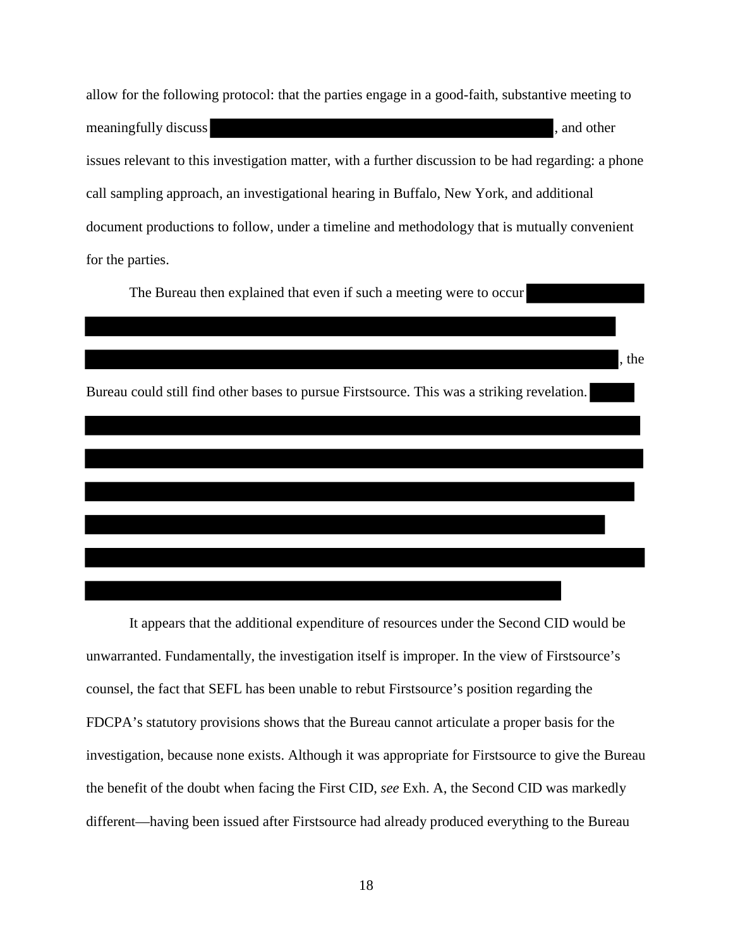allow for the following protocol: that the parties engage in a good-faith, substantive meeting to meaningfully discuss  $\blacksquare$ , and other issues relevant to this investigation matter, with a further discussion to be had regarding: a phone call sampling approach, an investigational hearing in Buffalo, New York, and additional document productions to follow, under a timeline and methodology that is mutually convenient for the parties.

| The Bureau then explained that even if such a meeting were to occur                        |       |
|--------------------------------------------------------------------------------------------|-------|
|                                                                                            |       |
|                                                                                            | , the |
| Bureau could still find other bases to pursue Firstsource. This was a striking revelation. |       |
|                                                                                            |       |
|                                                                                            |       |
|                                                                                            |       |
|                                                                                            |       |
|                                                                                            |       |

It appears that the additional expenditure of resources under the Second CID would be unwarranted. Fundamentally, the investigation itself is improper. In the view of Firstsource's counsel, the fact that SEFL has been unable to rebut Firstsource's position regarding the FDCPA's statutory provisions shows that the Bureau cannot articulate a proper basis for the investigation, because none exists. Although it was appropriate for Firstsource to give the Bureau the benefit of the doubt when facing the First CID, *see* Exh. A, the Second CID was markedly different—having been issued after Firstsource had already produced everything to the Bureau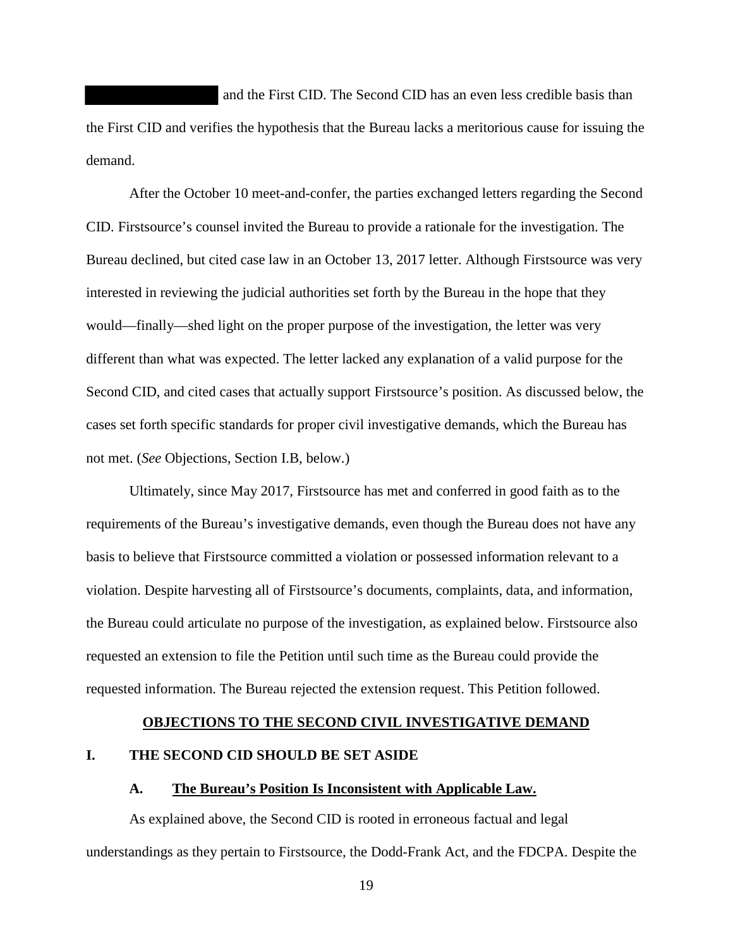and the First CID. The Second CID has an even less credible basis than the First CID and verifies the hypothesis that the Bureau lacks a meritorious cause for issuing the demand.

After the October 10 meet-and-confer, the parties exchanged letters regarding the Second CID. Firstsource's counsel invited the Bureau to provide a rationale for the investigation. The Bureau declined, but cited case law in an October 13, 2017 letter. Although Firstsource was very interested in reviewing the judicial authorities set forth by the Bureau in the hope that they would—finally—shed light on the proper purpose of the investigation, the letter was very different than what was expected. The letter lacked any explanation of a valid purpose for the Second CID, and cited cases that actually support Firstsource's position. As discussed below, the cases set forth specific standards for proper civil investigative demands, which the Bureau has not met. (*See* Objections, Section I.B, below.)

Ultimately, since May 2017, Firstsource has met and conferred in good faith as to the requirements of the Bureau's investigative demands, even though the Bureau does not have any basis to believe that Firstsource committed a violation or possessed information relevant to a violation. Despite harvesting all of Firstsource's documents, complaints, data, and information, the Bureau could articulate no purpose of the investigation, as explained below. Firstsource also requested an extension to file the Petition until such time as the Bureau could provide the requested information. The Bureau rejected the extension request. This Petition followed.

### **OBJECTIONS TO THE SECOND CIVIL INVESTIGATIVE DEMAND**

### **I. THE SECOND CID SHOULD BE SET ASIDE**

#### **A. The Bureau's Position Is Inconsistent with Applicable Law.**

As explained above, the Second CID is rooted in erroneous factual and legal understandings as they pertain to Firstsource, the Dodd-Frank Act, and the FDCPA. Despite the

19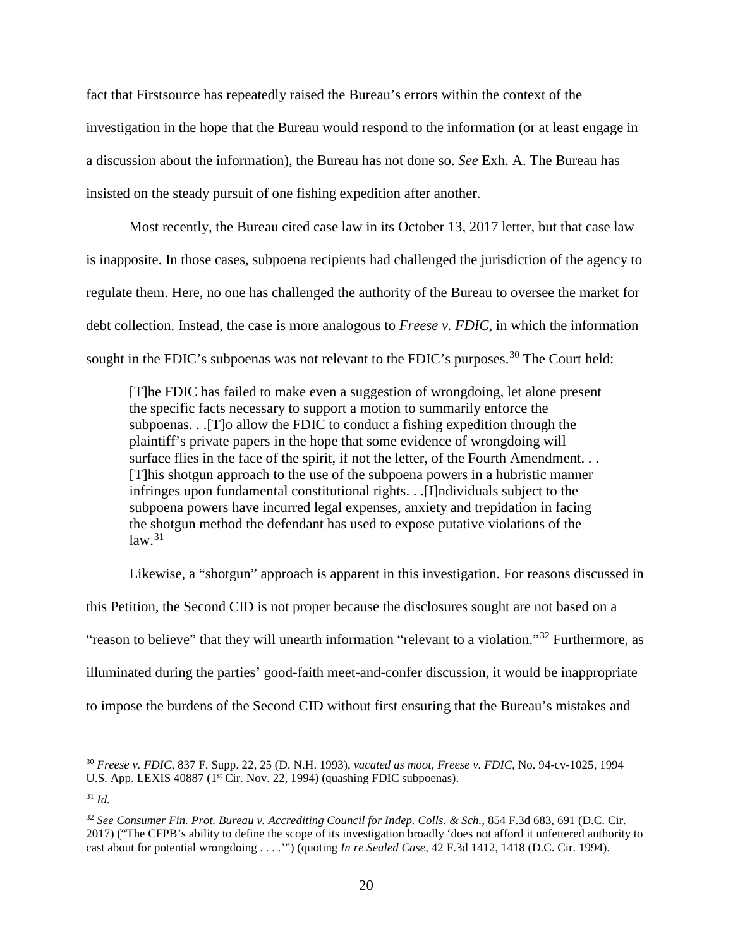fact that Firstsource has repeatedly raised the Bureau's errors within the context of the investigation in the hope that the Bureau would respond to the information (or at least engage in a discussion about the information), the Bureau has not done so. *See* Exh. A. The Bureau has insisted on the steady pursuit of one fishing expedition after another.

Most recently, the Bureau cited case law in its October 13, 2017 letter, but that case law is inapposite. In those cases, subpoena recipients had challenged the jurisdiction of the agency to regulate them. Here, no one has challenged the authority of the Bureau to oversee the market for debt collection. Instead, the case is more analogous to *Freese v. FDIC*, in which the information sought in the FDIC's subpoenas was not relevant to the FDIC's purposes.<sup>30</sup> The Court held:

[T]he FDIC has failed to make even a suggestion of wrongdoing, let alone present the specific facts necessary to support a motion to summarily enforce the subpoenas. . .[T]o allow the FDIC to conduct a fishing expedition through the plaintiff's private papers in the hope that some evidence of wrongdoing will surface flies in the face of the spirit, if not the letter, of the Fourth Amendment. . . [T]his shotgun approach to the use of the subpoena powers in a hubristic manner infringes upon fundamental constitutional rights. . .[I]ndividuals subject to the subpoena powers have incurred legal expenses, anxiety and trepidation in facing the shotgun method the defendant has used to expose putative violations of the  $law<sup>31</sup>$ 

Likewise, a "shotgun" approach is apparent in this investigation. For reasons discussed in this Petition, the Second CID is not proper because the disclosures sought are not based on a "reason to believe" that they will unearth information "relevant to a violation."<sup>32</sup> Furthermore, as illuminated during the parties' good-faith meet-and-confer discussion, it would be inappropriate to impose the burdens of the Second CID without first ensuring that the Bureau's mistakes and

 <sup>30</sup> *Freese v. FDIC*, 837 F. Supp. 22, 25 (D. N.H. 1993), *vacated as moot, Freese v. FDIC*, No. 94-cv-1025, 1994 U.S. App. LEXIS 40887 (1<sup>st</sup> Cir. Nov. 22, 1994) (quashing FDIC subpoenas).

<sup>31</sup> *Id.*

<sup>32</sup> *See Consumer Fin. Prot. Bureau v. Accrediting Council for Indep. Colls. & Sch.*, 854 F.3d 683, 691 (D.C. Cir. 2017) ("The CFPB's ability to define the scope of its investigation broadly 'does not afford it unfettered authority to cast about for potential wrongdoing . . . .'") (quoting *In re Sealed Case*, 42 F.3d 1412, 1418 (D.C. Cir. 1994).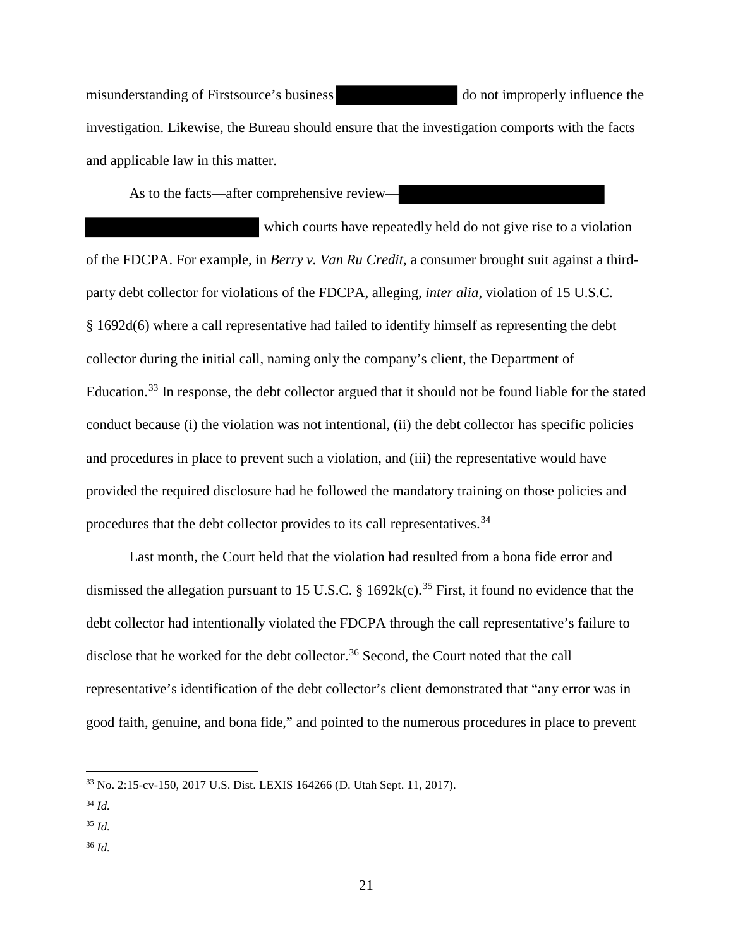misunderstanding of Firstsource's business do not improperly influence the investigation. Likewise, the Bureau should ensure that the investigation comports with the facts and applicable law in this matter.

As to the facts—after comprehensive review—

 which courts have repeatedly held do not give rise to a violation of the FDCPA. For example, in *Berry v. Van Ru Credit*, a consumer brought suit against a thirdparty debt collector for violations of the FDCPA, alleging, *inter alia*, violation of 15 U.S.C. § 1692d(6) where a call representative had failed to identify himself as representing the debt collector during the initial call, naming only the company's client, the Department of Education.33 In response, the debt collector argued that it should not be found liable for the stated conduct because (i) the violation was not intentional, (ii) the debt collector has specific policies and procedures in place to prevent such a violation, and (iii) the representative would have provided the required disclosure had he followed the mandatory training on those policies and procedures that the debt collector provides to its call representatives.<sup>34</sup>

Last month, the Court held that the violation had resulted from a bona fide error and dismissed the allegation pursuant to 15 U.S.C. § 1692 $k(c)$ .<sup>35</sup> First, it found no evidence that the debt collector had intentionally violated the FDCPA through the call representative's failure to disclose that he worked for the debt collector.<sup>36</sup> Second, the Court noted that the call representative's identification of the debt collector's client demonstrated that "any error was in good faith, genuine, and bona fide," and pointed to the numerous procedures in place to prevent

- <sup>35</sup> *Id.*
- <sup>36</sup> *Id.*

<sup>33</sup> No. 2:15-cv-150, 2017 U.S. Dist. LEXIS 164266 (D. Utah Sept. 11, 2017).

<sup>34</sup> *Id.*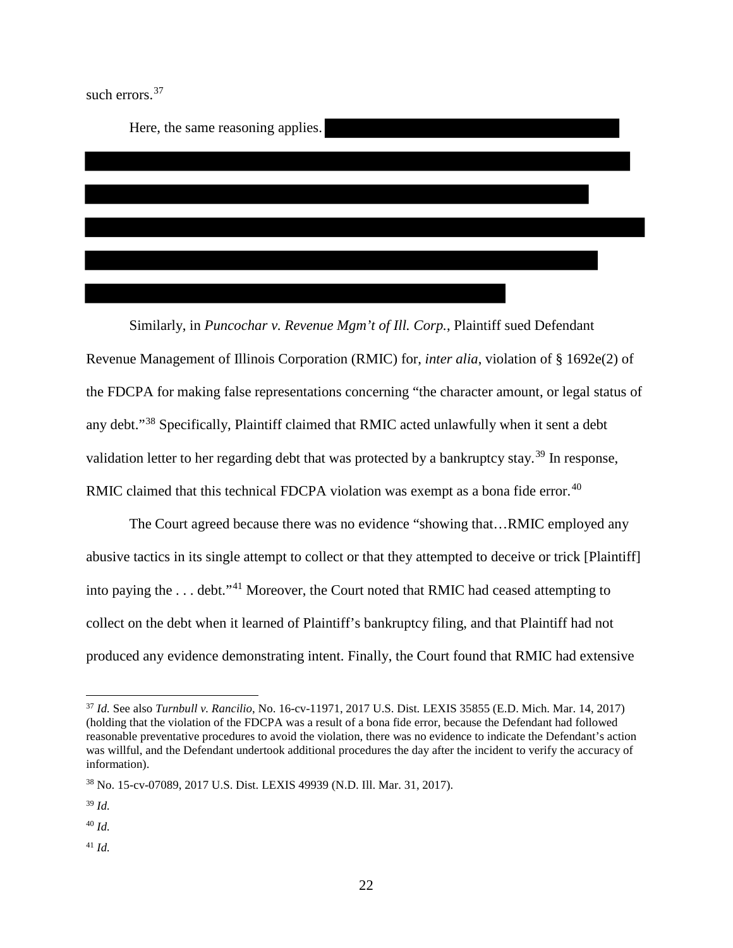such errors.<sup>37</sup>

Here, the same reasoning applies.

Similarly, in *Puncochar v. Revenue Mgm't of Ill. Corp.*, Plaintiff sued Defendant Revenue Management of Illinois Corporation (RMIC) for, *inter alia*, violation of § 1692e(2) of the FDCPA for making false representations concerning "the character amount, or legal status of any debt."<sup>38</sup> Specifically, Plaintiff claimed that RMIC acted unlawfully when it sent a debt validation letter to her regarding debt that was protected by a bankruptcy stay.<sup>39</sup> In response, RMIC claimed that this technical FDCPA violation was exempt as a bona fide error.<sup>40</sup>

The Court agreed because there was no evidence "showing that…RMIC employed any abusive tactics in its single attempt to collect or that they attempted to deceive or trick [Plaintiff] into paying the . . . debt."41 Moreover, the Court noted that RMIC had ceased attempting to collect on the debt when it learned of Plaintiff's bankruptcy filing, and that Plaintiff had not produced any evidence demonstrating intent. Finally, the Court found that RMIC had extensive

 $\overline{a}$ 

<sup>41</sup> *Id.*

<sup>37</sup> *Id.* See also *Turnbull v. Rancilio*, No. 16-cv-11971, 2017 U.S. Dist. LEXIS 35855 (E.D. Mich. Mar. 14, 2017) (holding that the violation of the FDCPA was a result of a bona fide error, because the Defendant had followed reasonable preventative procedures to avoid the violation, there was no evidence to indicate the Defendant's action was willful, and the Defendant undertook additional procedures the day after the incident to verify the accuracy of information).

<sup>38</sup> No. 15-cv-07089, 2017 U.S. Dist. LEXIS 49939 (N.D. Ill. Mar. 31, 2017).

<sup>39</sup> *Id.*

<sup>40</sup> *Id.*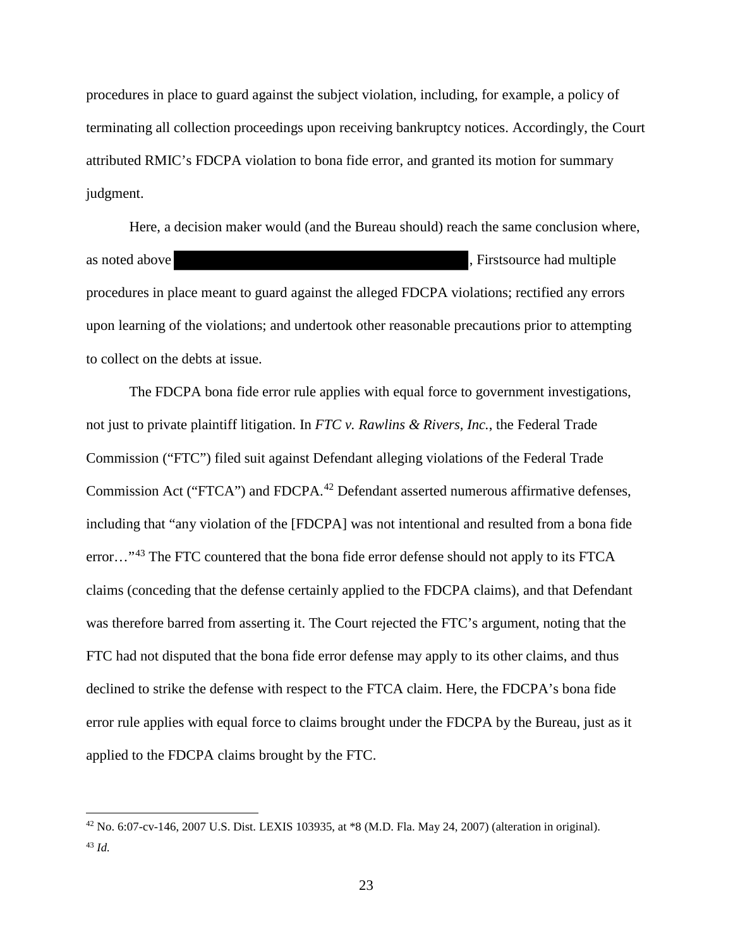procedures in place to guard against the subject violation, including, for example, a policy of terminating all collection proceedings upon receiving bankruptcy notices. Accordingly, the Court attributed RMIC's FDCPA violation to bona fide error, and granted its motion for summary judgment.

Here, a decision maker would (and the Bureau should) reach the same conclusion where, as noted above , First source had multiple procedures in place meant to guard against the alleged FDCPA violations; rectified any errors upon learning of the violations; and undertook other reasonable precautions prior to attempting to collect on the debts at issue.

The FDCPA bona fide error rule applies with equal force to government investigations, not just to private plaintiff litigation. In *FTC v. Rawlins & Rivers, Inc.*, the Federal Trade Commission ("FTC") filed suit against Defendant alleging violations of the Federal Trade Commission Act ("FTCA") and FDCPA.<sup>42</sup> Defendant asserted numerous affirmative defenses, including that "any violation of the [FDCPA] was not intentional and resulted from a bona fide error..."<sup>43</sup> The FTC countered that the bona fide error defense should not apply to its FTCA claims (conceding that the defense certainly applied to the FDCPA claims), and that Defendant was therefore barred from asserting it. The Court rejected the FTC's argument, noting that the FTC had not disputed that the bona fide error defense may apply to its other claims, and thus declined to strike the defense with respect to the FTCA claim. Here, the FDCPA's bona fide error rule applies with equal force to claims brought under the FDCPA by the Bureau, just as it applied to the FDCPA claims brought by the FTC.

 $42$  No. 6:07-cv-146, 2007 U.S. Dist. LEXIS 103935, at  $*8$  (M.D. Fla. May 24, 2007) (alteration in original). <sup>43</sup> *Id.*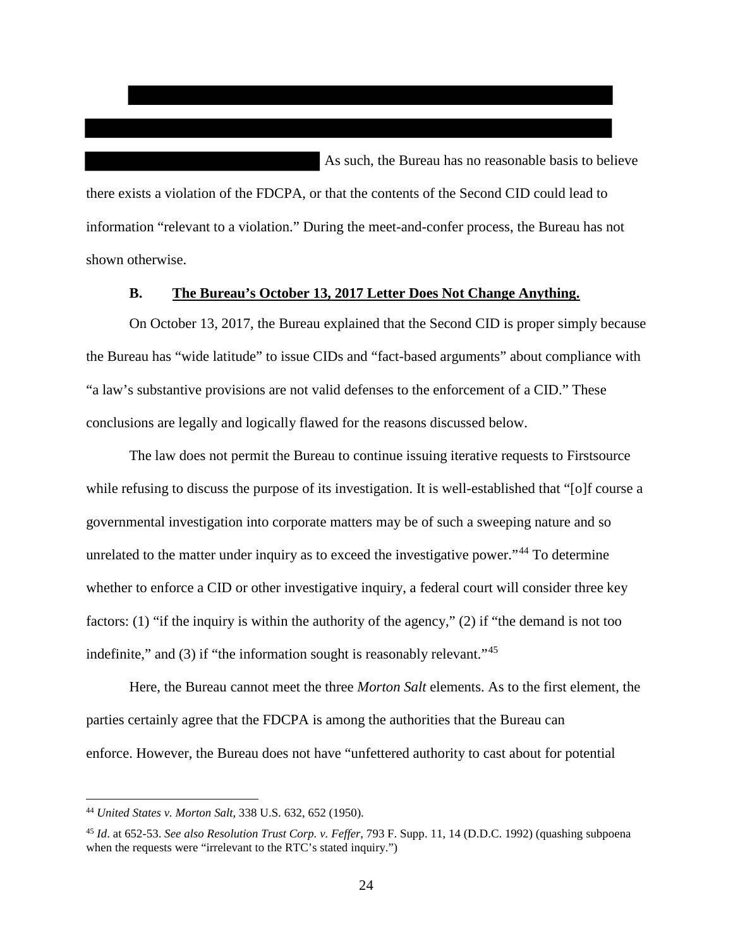As such, the Bureau has no reasonable basis to believe there exists a violation of the FDCPA, or that the contents of the Second CID could lead to information "relevant to a violation." During the meet-and-confer process, the Bureau has not shown otherwise.

### **B. The Bureau's October 13, 2017 Letter Does Not Change Anything.**

On October 13, 2017, the Bureau explained that the Second CID is proper simply because the Bureau has "wide latitude" to issue CIDs and "fact-based arguments" about compliance with "a law's substantive provisions are not valid defenses to the enforcement of a CID." These conclusions are legally and logically flawed for the reasons discussed below.

The law does not permit the Bureau to continue issuing iterative requests to Firstsource while refusing to discuss the purpose of its investigation. It is well-established that "[o]f course a governmental investigation into corporate matters may be of such a sweeping nature and so unrelated to the matter under inquiry as to exceed the investigative power."<sup>44</sup> To determine whether to enforce a CID or other investigative inquiry, a federal court will consider three key factors: (1) "if the inquiry is within the authority of the agency," (2) if "the demand is not too indefinite," and (3) if "the information sought is reasonably relevant." $45$ 

Here, the Bureau cannot meet the three *Morton Salt* elements. As to the first element, the parties certainly agree that the FDCPA is among the authorities that the Bureau can enforce. However, the Bureau does not have "unfettered authority to cast about for potential

<sup>44</sup> *United States v. Morton Salt*, 338 U.S. 632, 652 (1950).

<sup>45</sup> *Id*. at 652-53. *See also Resolution Trust Corp. v. Feffer*, 793 F. Supp. 11, 14 (D.D.C. 1992) (quashing subpoena when the requests were "irrelevant to the RTC's stated inquiry.")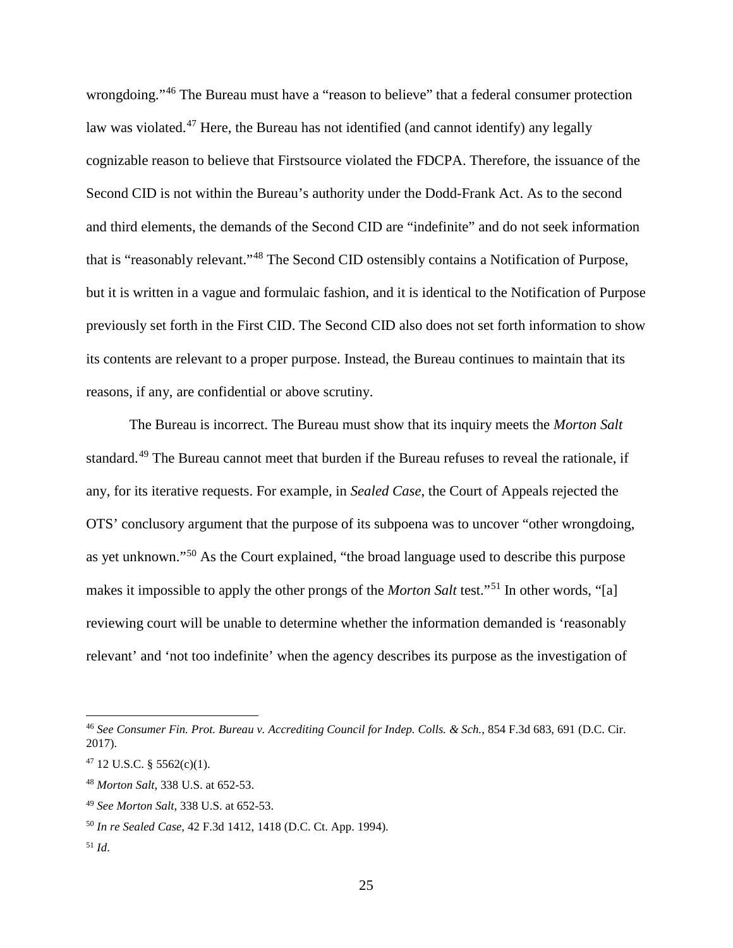wrongdoing."<sup>46</sup> The Bureau must have a "reason to believe" that a federal consumer protection law was violated.<sup>47</sup> Here, the Bureau has not identified (and cannot identify) any legally cognizable reason to believe that Firstsource violated the FDCPA. Therefore, the issuance of the Second CID is not within the Bureau's authority under the Dodd-Frank Act. As to the second and third elements, the demands of the Second CID are "indefinite" and do not seek information that is "reasonably relevant."<sup>48</sup> The Second CID ostensibly contains a Notification of Purpose, but it is written in a vague and formulaic fashion, and it is identical to the Notification of Purpose previously set forth in the First CID. The Second CID also does not set forth information to show its contents are relevant to a proper purpose. Instead, the Bureau continues to maintain that its reasons, if any, are confidential or above scrutiny.

The Bureau is incorrect. The Bureau must show that its inquiry meets the *Morton Salt* standard.<sup>49</sup> The Bureau cannot meet that burden if the Bureau refuses to reveal the rationale, if any, for its iterative requests. For example, in *Sealed Case*, the Court of Appeals rejected the OTS' conclusory argument that the purpose of its subpoena was to uncover "other wrongdoing, as yet unknown."<sup>50</sup> As the Court explained, "the broad language used to describe this purpose makes it impossible to apply the other prongs of the *Morton Salt* test."<sup>51</sup> In other words, "[a] reviewing court will be unable to determine whether the information demanded is 'reasonably relevant' and 'not too indefinite' when the agency describes its purpose as the investigation of

 <sup>46</sup> *See Consumer Fin. Prot. Bureau v. Accrediting Council for Indep. Colls. & Sch.*, 854 F.3d 683, 691 (D.C. Cir. 2017).

 $47$  12 U.S.C. § 5562(c)(1).

<sup>48</sup> *Morton Salt*, 338 U.S. at 652-53.

<sup>49</sup> *See Morton Salt*, 338 U.S. at 652-53.

<sup>50</sup> *In re Sealed Case*, 42 F.3d 1412, 1418 (D.C. Ct. App. 1994).

<sup>51</sup> *Id*.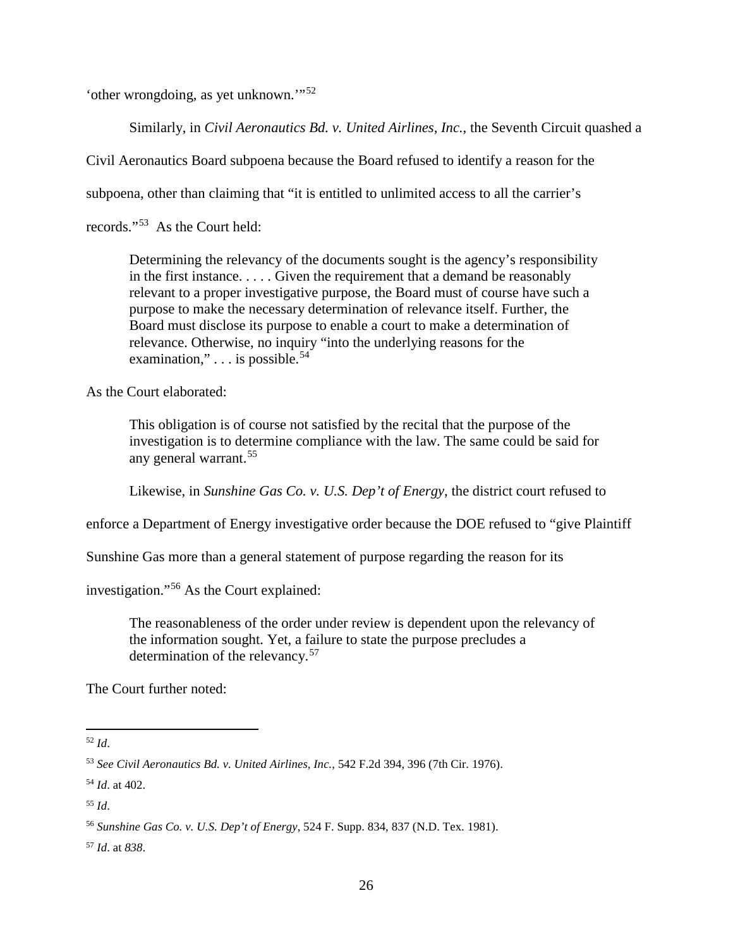'other wrongdoing, as yet unknown.'"<sup>52</sup>

Similarly, in *Civil Aeronautics Bd. v. United Airlines, Inc.*, the Seventh Circuit quashed a

Civil Aeronautics Board subpoena because the Board refused to identify a reason for the

subpoena, other than claiming that "it is entitled to unlimited access to all the carrier's

records."53 As the Court held:

Determining the relevancy of the documents sought is the agency's responsibility in the first instance. . . . . Given the requirement that a demand be reasonably relevant to a proper investigative purpose, the Board must of course have such a purpose to make the necessary determination of relevance itself. Further, the Board must disclose its purpose to enable a court to make a determination of relevance. Otherwise, no inquiry "into the underlying reasons for the examination,"  $\ldots$  is possible.<sup>54</sup>

As the Court elaborated:

This obligation is of course not satisfied by the recital that the purpose of the investigation is to determine compliance with the law. The same could be said for any general warrant.<sup>55</sup>

Likewise, in *Sunshine Gas Co. v. U.S. Dep't of Energy*, the district court refused to

enforce a Department of Energy investigative order because the DOE refused to "give Plaintiff

Sunshine Gas more than a general statement of purpose regarding the reason for its

investigation."<sup>56</sup> As the Court explained:

The reasonableness of the order under review is dependent upon the relevancy of the information sought. Yet, a failure to state the purpose precludes a determination of the relevancy.<sup>57</sup>

The Court further noted:

 <sup>52</sup> *Id*.

<sup>53</sup> *See Civil Aeronautics Bd. v. United Airlines, Inc.*, 542 F.2d 394, 396 (7th Cir. 1976).

<sup>54</sup> *Id*. at 402.

<sup>55</sup> *Id*.

<sup>56</sup> *Sunshine Gas Co. v. U.S. Dep't of Energy*, 524 F. Supp. 834, 837 (N.D. Tex. 1981).

<sup>57</sup> *Id*. at *838*.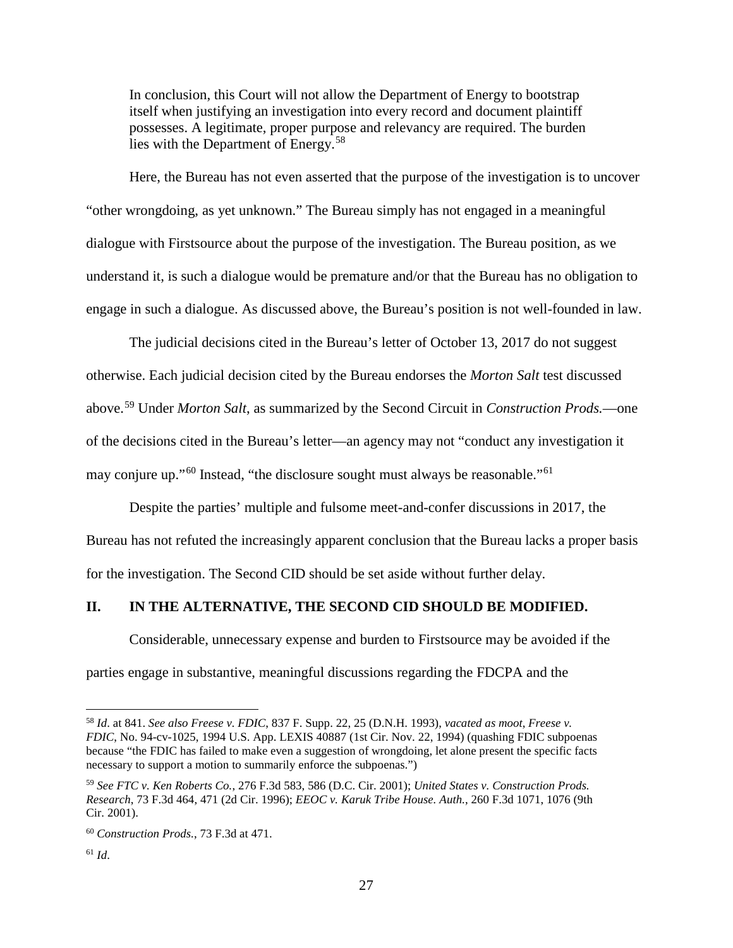In conclusion, this Court will not allow the Department of Energy to bootstrap itself when justifying an investigation into every record and document plaintiff possesses. A legitimate, proper purpose and relevancy are required. The burden lies with the Department of Energy.<sup>58</sup>

Here, the Bureau has not even asserted that the purpose of the investigation is to uncover "other wrongdoing, as yet unknown." The Bureau simply has not engaged in a meaningful dialogue with Firstsource about the purpose of the investigation. The Bureau position, as we understand it, is such a dialogue would be premature and/or that the Bureau has no obligation to engage in such a dialogue. As discussed above, the Bureau's position is not well-founded in law.

The judicial decisions cited in the Bureau's letter of October 13, 2017 do not suggest otherwise. Each judicial decision cited by the Bureau endorses the *Morton Salt* test discussed above.<sup>59</sup> Under *Morton Salt*, as summarized by the Second Circuit in *Construction Prods.*—one of the decisions cited in the Bureau's letter—an agency may not "conduct any investigation it may conjure up."<sup>60</sup> Instead, "the disclosure sought must always be reasonable."<sup>61</sup>

Despite the parties' multiple and fulsome meet-and-confer discussions in 2017, the Bureau has not refuted the increasingly apparent conclusion that the Bureau lacks a proper basis for the investigation. The Second CID should be set aside without further delay.

## **II. IN THE ALTERNATIVE, THE SECOND CID SHOULD BE MODIFIED.**

Considerable, unnecessary expense and burden to Firstsource may be avoided if the parties engage in substantive, meaningful discussions regarding the FDCPA and the

 <sup>58</sup> *Id*. at 841. *See also Freese v. FDIC*, 837 F. Supp. 22, 25 (D.N.H. 1993), *vacated as moot*, *Freese v. FDIC*, No. 94-cv-1025, 1994 U.S. App. LEXIS 40887 (1st Cir. Nov. 22, 1994) (quashing FDIC subpoenas because "the FDIC has failed to make even a suggestion of wrongdoing, let alone present the specific facts necessary to support a motion to summarily enforce the subpoenas.")

<sup>59</sup> *See FTC v. Ken Roberts Co.*, 276 F.3d 583, 586 (D.C. Cir. 2001); *United States v. Construction Prods. Research*, 73 F.3d 464, 471 (2d Cir. 1996); *EEOC v. Karuk Tribe House. Auth.*, 260 F.3d 1071, 1076 (9th Cir. 2001).

<sup>60</sup> *Construction Prods.*, 73 F.3d at 471.

<sup>61</sup> *Id*.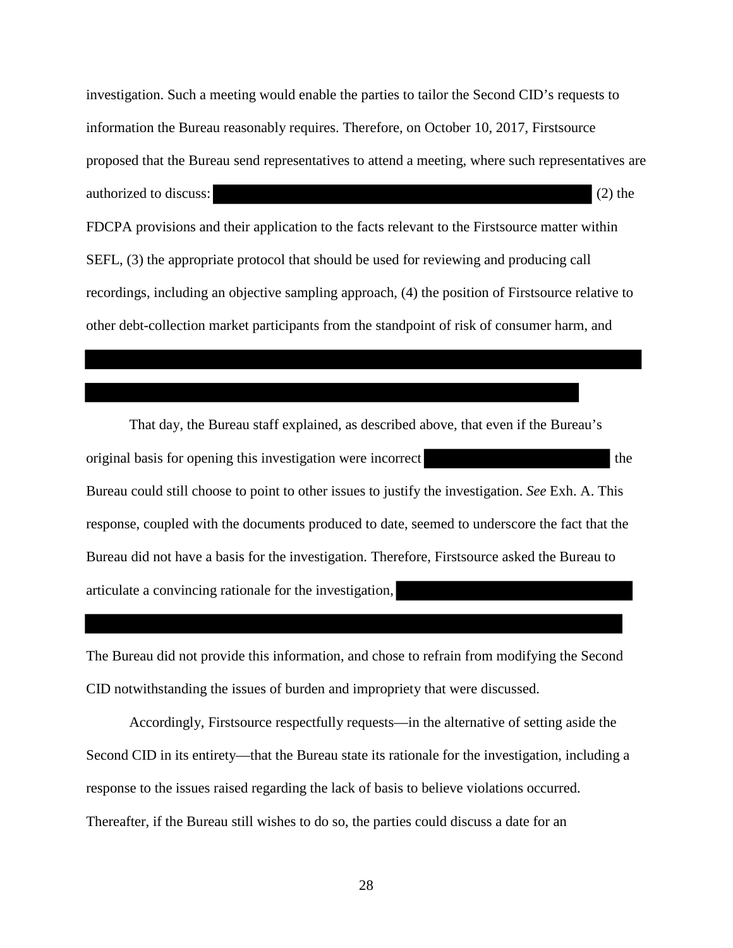investigation. Such a meeting would enable the parties to tailor the Second CID's requests to information the Bureau reasonably requires. Therefore, on October 10, 2017, Firstsource proposed that the Bureau send representatives to attend a meeting, where such representatives are authorized to discuss: (2) the

FDCPA provisions and their application to the facts relevant to the Firstsource matter within SEFL, (3) the appropriate protocol that should be used for reviewing and producing call recordings, including an objective sampling approach, (4) the position of Firstsource relative to other debt-collection market participants from the standpoint of risk of consumer harm, and

That day, the Bureau staff explained, as described above, that even if the Bureau's original basis for opening this investigation were incorrect the the Bureau could still choose to point to other issues to justify the investigation. *See* Exh. A. This response, coupled with the documents produced to date, seemed to underscore the fact that the Bureau did not have a basis for the investigation. Therefore, Firstsource asked the Bureau to articulate a convincing rationale for the investigation,

The Bureau did not provide this information, and chose to refrain from modifying the Second CID notwithstanding the issues of burden and impropriety that were discussed.

Accordingly, Firstsource respectfully requests—in the alternative of setting aside the Second CID in its entirety—that the Bureau state its rationale for the investigation, including a response to the issues raised regarding the lack of basis to believe violations occurred. Thereafter, if the Bureau still wishes to do so, the parties could discuss a date for an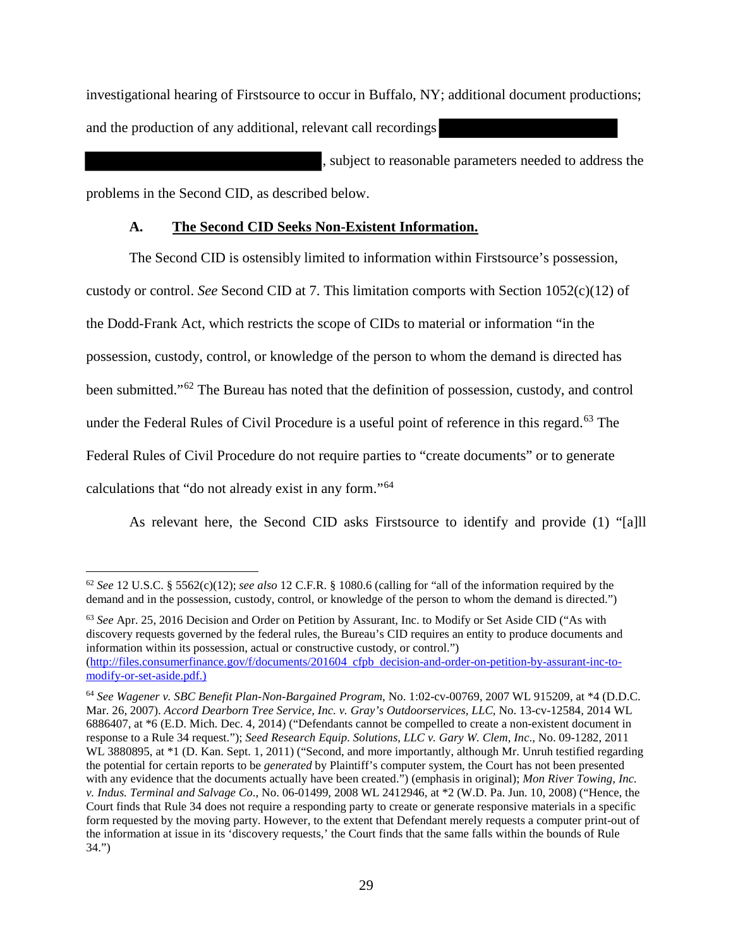investigational hearing of Firstsource to occur in Buffalo, NY; additional document productions; and the production of any additional, relevant call recordings

, subject to reasonable parameters needed to address the problems in the Second CID, as described below.

# **A. The Second CID Seeks Non-Existent Information.**

The Second CID is ostensibly limited to information within Firstsource's possession, custody or control. *See* Second CID at 7. This limitation comports with Section 1052(c)(12) of the Dodd-Frank Act, which restricts the scope of CIDs to material or information "in the possession, custody, control, or knowledge of the person to whom the demand is directed has been submitted."62 The Bureau has noted that the definition of possession, custody, and control under the Federal Rules of Civil Procedure is a useful point of reference in this regard.<sup>63</sup> The Federal Rules of Civil Procedure do not require parties to "create documents" or to generate calculations that "do not already exist in any form."<sup>64</sup>

As relevant here, the Second CID asks Firstsource to identify and provide (1) "[a]ll

 $\overline{a}$ 

<sup>63</sup> *See* Apr. 25, 2016 Decision and Order on Petition by Assurant, Inc. to Modify or Set Aside CID ("As with discovery requests governed by the federal rules, the Bureau's CID requires an entity to produce documents and information within its possession, actual or constructive custody, or control.") (http://files.consumerfinance.gov/f/documents/201604 cfpb decision-and-order-on-petition-by-assurant-inc-tomodify-or-set-aside.pdf.)

<sup>62</sup> *See* 12 U.S.C. § 5562(c)(12); *see also* 12 C.F.R. § 1080.6 (calling for "all of the information required by the demand and in the possession, custody, control, or knowledge of the person to whom the demand is directed.")

<sup>64</sup> *See Wagener v. SBC Benefit Plan-Non-Bargained Program*, No. 1:02-cv-00769, 2007 WL 915209, at \*4 (D.D.C. Mar. 26, 2007). *Accord Dearborn Tree Service, Inc. v. Gray's Outdoorservices, LLC*, No. 13-cv-12584, 2014 WL 6886407, at \*6 (E.D. Mich. Dec. 4, 2014) ("Defendants cannot be compelled to create a non-existent document in response to a Rule 34 request."); *Seed Research Equip. Solutions, LLC v. Gary W. Clem, Inc*., No. 09-1282, 2011 WL 3880895, at \*1 (D. Kan. Sept. 1, 2011) ("Second, and more importantly, although Mr. Unruh testified regarding the potential for certain reports to be *generated* by Plaintiff's computer system, the Court has not been presented with any evidence that the documents actually have been created.") (emphasis in original); *Mon River Towing, Inc. v. Indus. Terminal and Salvage Co*., No. 06-01499, 2008 WL 2412946, at \*2 (W.D. Pa. Jun. 10, 2008) ("Hence, the Court finds that Rule 34 does not require a responding party to create or generate responsive materials in a specific form requested by the moving party. However, to the extent that Defendant merely requests a computer print-out of the information at issue in its 'discovery requests,' the Court finds that the same falls within the bounds of Rule 34.")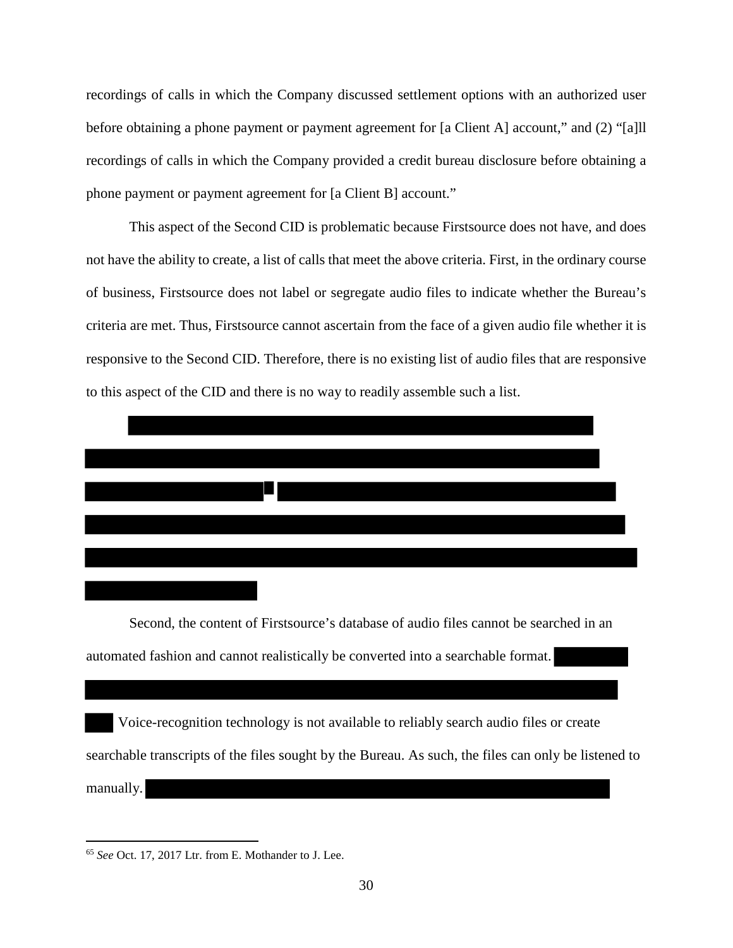recordings of calls in which the Company discussed settlement options with an authorized user before obtaining a phone payment or payment agreement for [a Client A] account," and (2) "[a]ll recordings of calls in which the Company provided a credit bureau disclosure before obtaining a phone payment or payment agreement for [a Client B] account."

This aspect of the Second CID is problematic because Firstsource does not have, and does not have the ability to create, a list of calls that meet the above criteria. First, in the ordinary course of business, Firstsource does not label or segregate audio files to indicate whether the Bureau's criteria are met. Thus, Firstsource cannot ascertain from the face of a given audio file whether it is responsive to the Second CID. Therefore, there is no existing list of audio files that are responsive to this aspect of the CID and there is no way to readily assemble such a list.



<sup>65</sup> *See* Oct. 17, 2017 Ltr. from E. Mothander to J. Lee.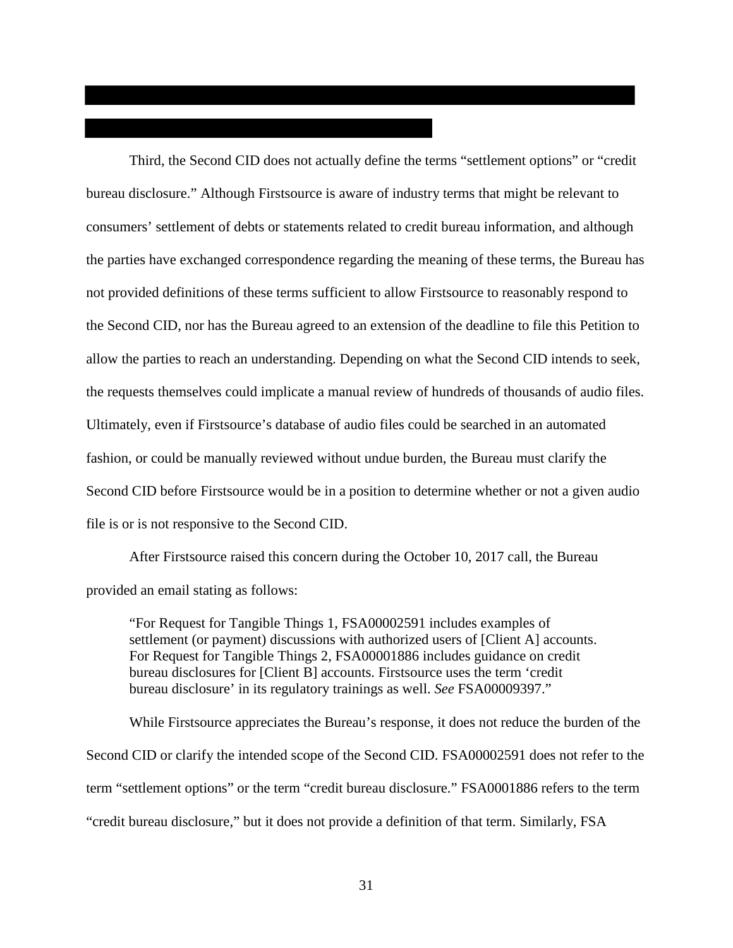Third, the Second CID does not actually define the terms "settlement options" or "credit bureau disclosure." Although Firstsource is aware of industry terms that might be relevant to consumers' settlement of debts or statements related to credit bureau information, and although the parties have exchanged correspondence regarding the meaning of these terms, the Bureau has not provided definitions of these terms sufficient to allow Firstsource to reasonably respond to the Second CID, nor has the Bureau agreed to an extension of the deadline to file this Petition to allow the parties to reach an understanding. Depending on what the Second CID intends to seek, the requests themselves could implicate a manual review of hundreds of thousands of audio files. Ultimately, even if Firstsource's database of audio files could be searched in an automated fashion, or could be manually reviewed without undue burden, the Bureau must clarify the Second CID before Firstsource would be in a position to determine whether or not a given audio file is or is not responsive to the Second CID.

After Firstsource raised this concern during the October 10, 2017 call, the Bureau provided an email stating as follows:

"For Request for Tangible Things 1, FSA00002591 includes examples of settlement (or payment) discussions with authorized users of [Client A] accounts. For Request for Tangible Things 2, FSA00001886 includes guidance on credit bureau disclosures for [Client B] accounts. Firstsource uses the term 'credit bureau disclosure' in its regulatory trainings as well. *See* FSA00009397."

While Firstsource appreciates the Bureau's response, it does not reduce the burden of the Second CID or clarify the intended scope of the Second CID. FSA00002591 does not refer to the term "settlement options" or the term "credit bureau disclosure." FSA0001886 refers to the term "credit bureau disclosure," but it does not provide a definition of that term. Similarly, FSA

31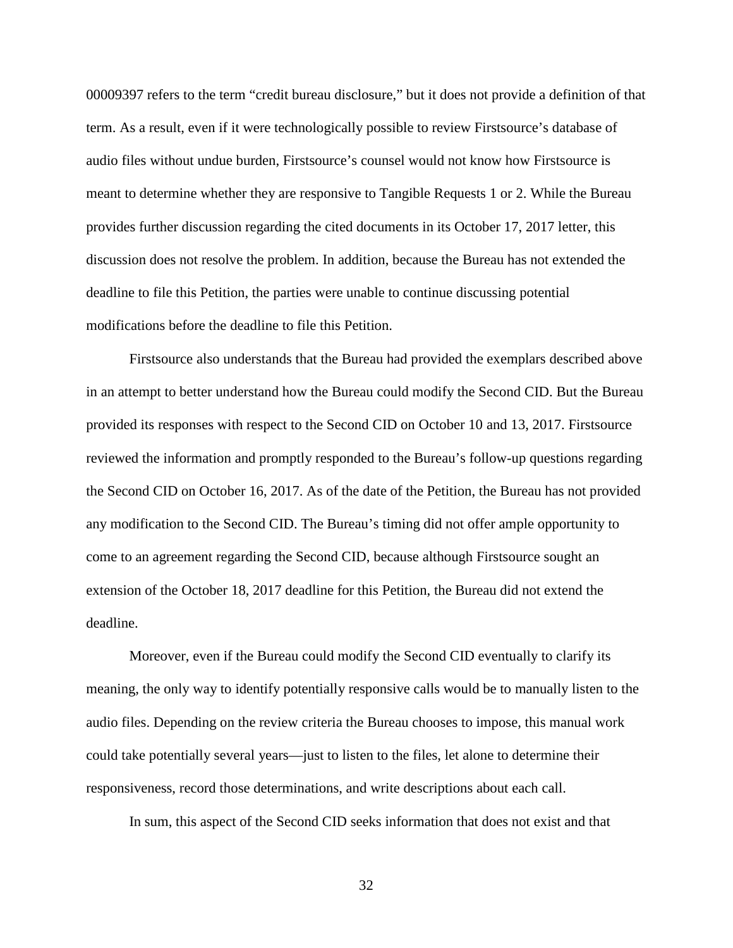00009397 refers to the term "credit bureau disclosure," but it does not provide a definition of that term. As a result, even if it were technologically possible to review Firstsource's database of audio files without undue burden, Firstsource's counsel would not know how Firstsource is meant to determine whether they are responsive to Tangible Requests 1 or 2. While the Bureau provides further discussion regarding the cited documents in its October 17, 2017 letter, this discussion does not resolve the problem. In addition, because the Bureau has not extended the deadline to file this Petition, the parties were unable to continue discussing potential modifications before the deadline to file this Petition.

Firstsource also understands that the Bureau had provided the exemplars described above in an attempt to better understand how the Bureau could modify the Second CID. But the Bureau provided its responses with respect to the Second CID on October 10 and 13, 2017. Firstsource reviewed the information and promptly responded to the Bureau's follow-up questions regarding the Second CID on October 16, 2017. As of the date of the Petition, the Bureau has not provided any modification to the Second CID. The Bureau's timing did not offer ample opportunity to come to an agreement regarding the Second CID, because although Firstsource sought an extension of the October 18, 2017 deadline for this Petition, the Bureau did not extend the deadline.

Moreover, even if the Bureau could modify the Second CID eventually to clarify its meaning, the only way to identify potentially responsive calls would be to manually listen to the audio files. Depending on the review criteria the Bureau chooses to impose, this manual work could take potentially several years—just to listen to the files, let alone to determine their responsiveness, record those determinations, and write descriptions about each call.

In sum, this aspect of the Second CID seeks information that does not exist and that

32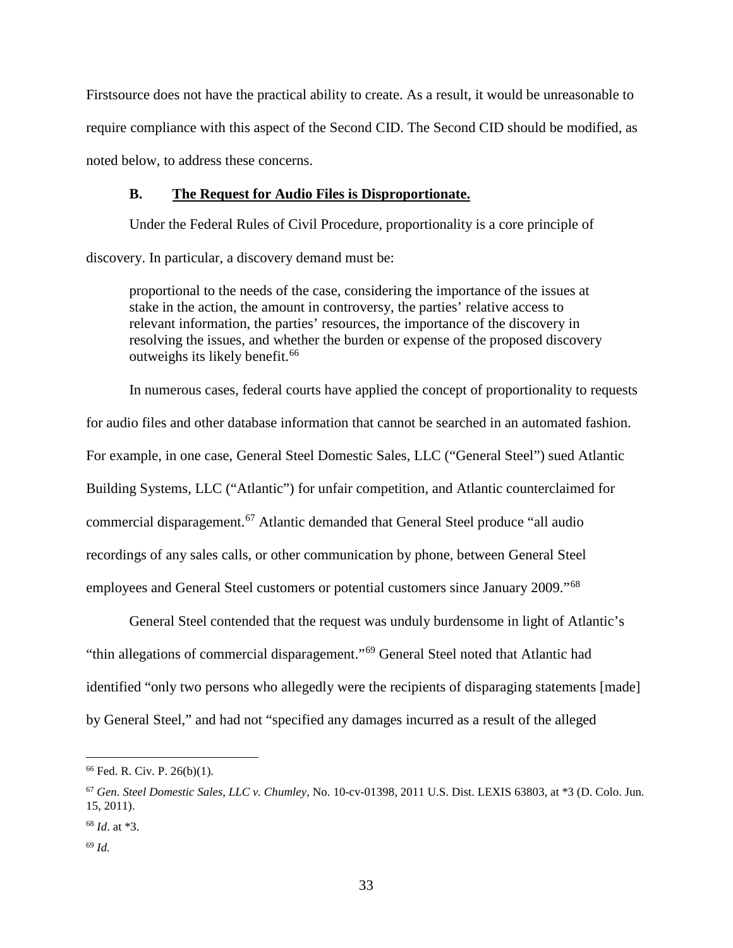Firstsource does not have the practical ability to create. As a result, it would be unreasonable to require compliance with this aspect of the Second CID. The Second CID should be modified, as noted below, to address these concerns.

### **B. The Request for Audio Files is Disproportionate.**

Under the Federal Rules of Civil Procedure, proportionality is a core principle of discovery. In particular, a discovery demand must be:

proportional to the needs of the case, considering the importance of the issues at stake in the action, the amount in controversy, the parties' relative access to relevant information, the parties' resources, the importance of the discovery in resolving the issues, and whether the burden or expense of the proposed discovery outweighs its likely benefit.<sup>66</sup>

In numerous cases, federal courts have applied the concept of proportionality to requests

for audio files and other database information that cannot be searched in an automated fashion.

For example, in one case, General Steel Domestic Sales, LLC ("General Steel") sued Atlantic

Building Systems, LLC ("Atlantic") for unfair competition, and Atlantic counterclaimed for

commercial disparagement.<sup>67</sup> Atlantic demanded that General Steel produce "all audio

recordings of any sales calls, or other communication by phone, between General Steel

employees and General Steel customers or potential customers since January 2009."<sup>68</sup>

General Steel contended that the request was unduly burdensome in light of Atlantic's "thin allegations of commercial disparagement."<sup>69</sup> General Steel noted that Atlantic had identified "only two persons who allegedly were the recipients of disparaging statements [made] by General Steel," and had not "specified any damages incurred as a result of the alleged

 <sup>66</sup> Fed. R. Civ. P. 26(b)(1).

<sup>67</sup> *Gen. Steel Domestic Sales, LLC v. Chumley*, No. 10-cv-01398, 2011 U.S. Dist. LEXIS 63803, at \*3 (D. Colo. Jun. 15, 2011).

<sup>68</sup> *Id*. at \*3.

<sup>69</sup> *Id.*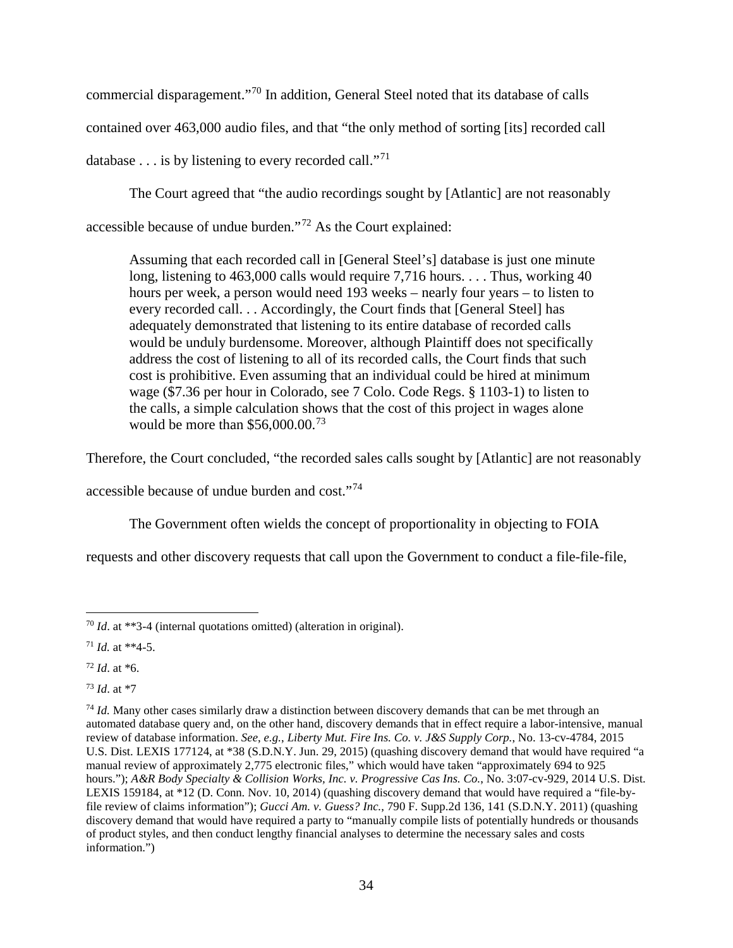commercial disparagement."<sup>70</sup> In addition, General Steel noted that its database of calls

contained over 463,000 audio files, and that "the only method of sorting [its] recorded call

database  $\dots$  is by listening to every recorded call."<sup>71</sup>

The Court agreed that "the audio recordings sought by [Atlantic] are not reasonably

accessible because of undue burden."<sup>72</sup> As the Court explained:

Assuming that each recorded call in [General Steel's] database is just one minute long, listening to 463,000 calls would require 7,716 hours. . . . Thus, working 40 hours per week, a person would need 193 weeks – nearly four years – to listen to every recorded call. . . Accordingly, the Court finds that [General Steel] has adequately demonstrated that listening to its entire database of recorded calls would be unduly burdensome. Moreover, although Plaintiff does not specifically address the cost of listening to all of its recorded calls, the Court finds that such cost is prohibitive. Even assuming that an individual could be hired at minimum wage (\$7.36 per hour in Colorado, see 7 Colo. Code Regs. § 1103-1) to listen to the calls, a simple calculation shows that the cost of this project in wages alone would be more than  $$56,000.00$ <sup>73</sup>

Therefore, the Court concluded, "the recorded sales calls sought by [Atlantic] are not reasonably

accessible because of undue burden and cost."<sup>74</sup>

The Government often wields the concept of proportionality in objecting to FOIA

requests and other discovery requests that call upon the Government to conduct a file-file-file,

 $72$  *Id.* at  $*6$ .

<sup>73</sup> *Id*. at \*7

 <sup>70</sup> *Id*. at \*\*3-4 (internal quotations omitted) (alteration in original).

 $71$  *Id.* at \*\*4-5.

<sup>&</sup>lt;sup>74</sup> *Id.* Many other cases similarly draw a distinction between discovery demands that can be met through an automated database query and, on the other hand, discovery demands that in effect require a labor-intensive, manual review of database information. *See*, *e.g.*, *Liberty Mut. Fire Ins. Co. v. J&S Supply Corp.*, No. 13-cv-4784, 2015 U.S. Dist. LEXIS 177124, at \*38 (S.D.N.Y. Jun. 29, 2015) (quashing discovery demand that would have required "a manual review of approximately 2,775 electronic files," which would have taken "approximately 694 to 925 hours."); *A&R Body Specialty & Collision Works, Inc. v. Progressive Cas Ins. Co.*, No. 3:07-cv-929, 2014 U.S. Dist. LEXIS 159184, at \*12 (D. Conn. Nov. 10, 2014) (quashing discovery demand that would have required a "file-byfile review of claims information"); *Gucci Am. v. Guess? Inc.*, 790 F. Supp.2d 136, 141 (S.D.N.Y. 2011) (quashing discovery demand that would have required a party to "manually compile lists of potentially hundreds or thousands of product styles, and then conduct lengthy financial analyses to determine the necessary sales and costs information.")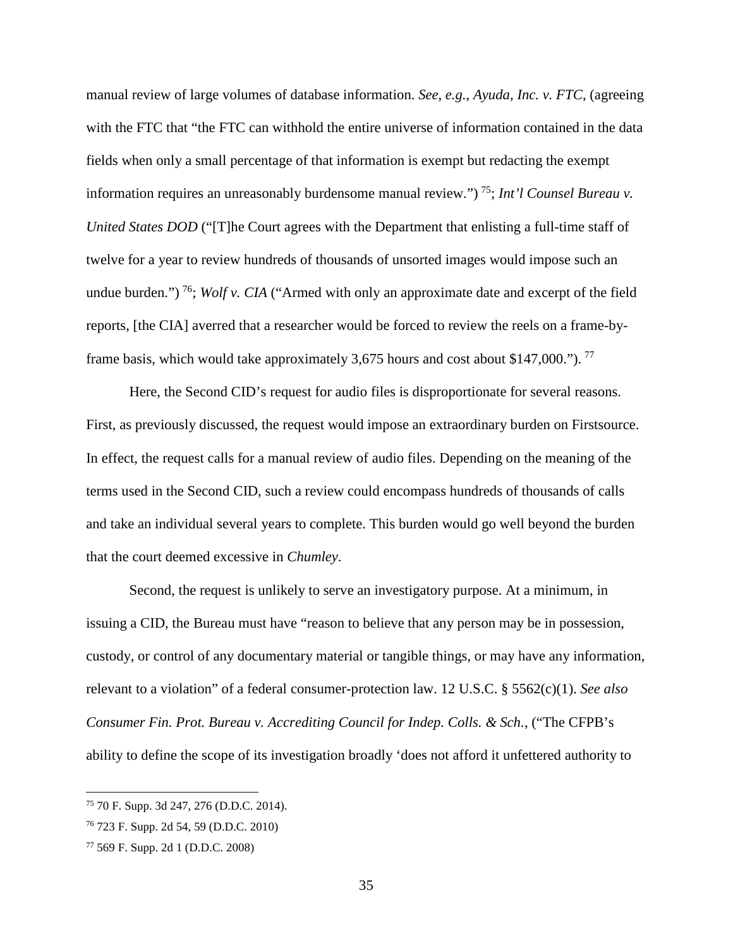manual review of large volumes of database information. *See*, *e.g.*, *Ayuda, Inc. v. FTC*, (agreeing with the FTC that "the FTC can withhold the entire universe of information contained in the data fields when only a small percentage of that information is exempt but redacting the exempt information requires an unreasonably burdensome manual review.") 75; *Int'l Counsel Bureau v. United States DOD* ("The Court agrees with the Department that enlisting a full-time staff of twelve for a year to review hundreds of thousands of unsorted images would impose such an undue burden.")<sup>76</sup>; *Wolf v. CIA* ("Armed with only an approximate date and excerpt of the field reports, [the CIA] averred that a researcher would be forced to review the reels on a frame-byframe basis, which would take approximately 3,675 hours and cost about \$147,000."). <sup>77</sup>

Here, the Second CID's request for audio files is disproportionate for several reasons. First, as previously discussed, the request would impose an extraordinary burden on Firstsource. In effect, the request calls for a manual review of audio files. Depending on the meaning of the terms used in the Second CID, such a review could encompass hundreds of thousands of calls and take an individual several years to complete. This burden would go well beyond the burden that the court deemed excessive in *Chumley*.

Second, the request is unlikely to serve an investigatory purpose. At a minimum, in issuing a CID, the Bureau must have "reason to believe that any person may be in possession, custody, or control of any documentary material or tangible things, or may have any information, relevant to a violation" of a federal consumer-protection law. 12 U.S.C. § 5562(c)(1). *See also Consumer Fin. Prot. Bureau v. Accrediting Council for Indep. Colls. & Sch.*, ("The CFPB's ability to define the scope of its investigation broadly 'does not afford it unfettered authority to

 <sup>75</sup> 70 F. Supp. 3d 247, 276 (D.D.C. 2014).

<sup>76</sup> 723 F. Supp. 2d 54, 59 (D.D.C. 2010)

<sup>77</sup> 569 F. Supp. 2d 1 (D.D.C. 2008)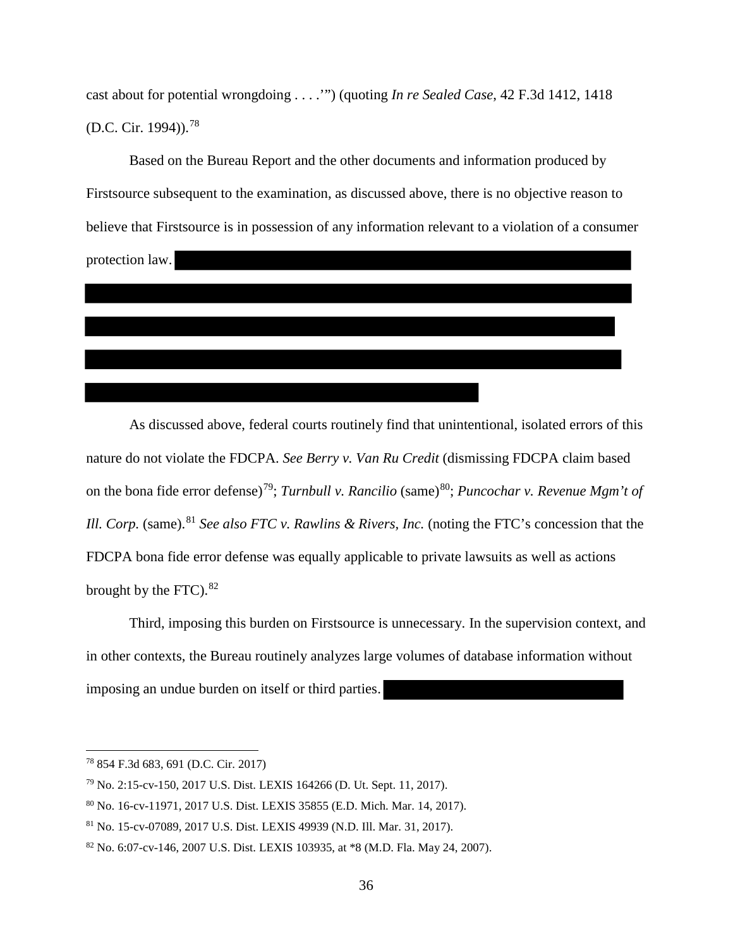cast about for potential wrongdoing . . . .'") (quoting *In re Sealed Case*, 42 F.3d 1412, 1418 (D.C. Cir. 1994)).<sup>78</sup>

Based on the Bureau Report and the other documents and information produced by Firstsource subsequent to the examination, as discussed above, there is no objective reason to believe that Firstsource is in possession of any information relevant to a violation of a consumer protection law.



As discussed above, federal courts routinely find that unintentional, isolated errors of this nature do not violate the FDCPA. *See Berry v. Van Ru Credit* (dismissing FDCPA claim based on the bona fide error defense)<sup>79</sup>; *Turnbull v. Rancilio* (same)<sup>80</sup>; *Puncochar v. Revenue Mgm't of Ill. Corp.* (same).<sup>81</sup> *See also FTC v. Rawlins & Rivers, Inc.* (noting the FTC's concession that the FDCPA bona fide error defense was equally applicable to private lawsuits as well as actions brought by the FTC).  $82$ 

Third, imposing this burden on Firstsource is unnecessary. In the supervision context, and in other contexts, the Bureau routinely analyzes large volumes of database information without imposing an undue burden on itself or third parties.

<sup>78</sup> 854 F.3d 683, 691 (D.C. Cir. 2017)

<sup>79</sup> No. 2:15-cv-150, 2017 U.S. Dist. LEXIS 164266 (D. Ut. Sept. 11, 2017).

<sup>80</sup> No. 16-cv-11971, 2017 U.S. Dist. LEXIS 35855 (E.D. Mich. Mar. 14, 2017).

<sup>81</sup> No. 15-cv-07089, 2017 U.S. Dist. LEXIS 49939 (N.D. Ill. Mar. 31, 2017).

<sup>82</sup> No. 6:07-cv-146, 2007 U.S. Dist. LEXIS 103935, at \*8 (M.D. Fla. May 24, 2007).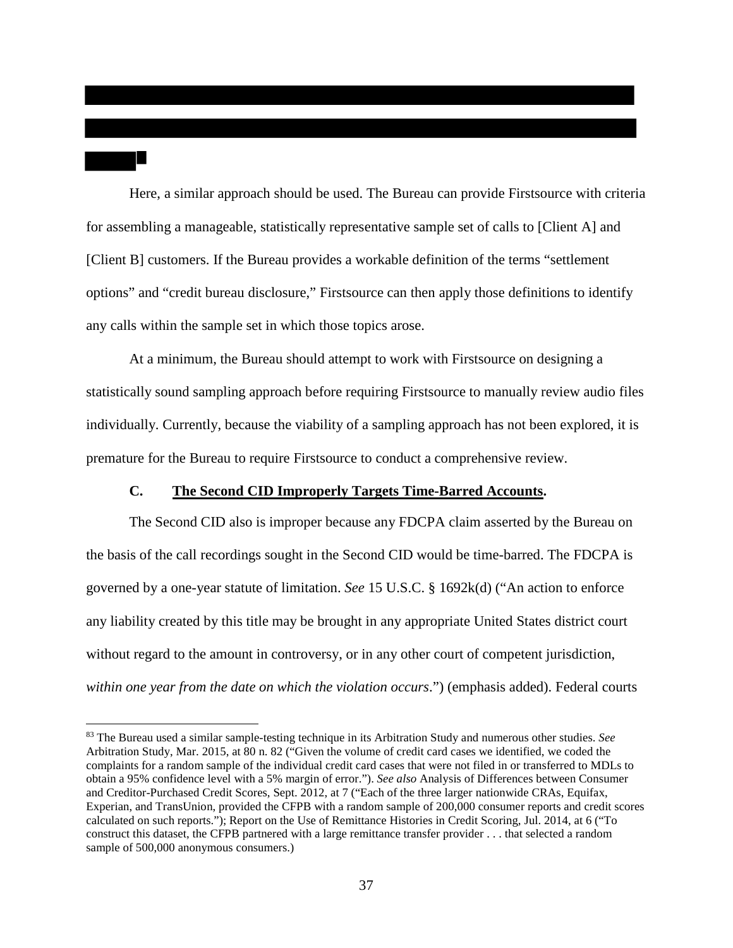Here, a similar approach should be used. The Bureau can provide Firstsource with criteria for assembling a manageable, statistically representative sample set of calls to [Client A] and [Client B] customers. If the Bureau provides a workable definition of the terms "settlement options" and "credit bureau disclosure," Firstsource can then apply those definitions to identify any calls within the sample set in which those topics arose.

At a minimum, the Bureau should attempt to work with Firstsource on designing a statistically sound sampling approach before requiring Firstsource to manually review audio files individually. Currently, because the viability of a sampling approach has not been explored, it is premature for the Bureau to require Firstsource to conduct a comprehensive review.

# **C. The Second CID Improperly Targets Time-Barred Accounts.**

The Second CID also is improper because any FDCPA claim asserted by the Bureau on the basis of the call recordings sought in the Second CID would be time-barred. The FDCPA is governed by a one-year statute of limitation. *See* 15 U.S.C. § 1692k(d) ("An action to enforce any liability created by this title may be brought in any appropriate United States district court without regard to the amount in controversy, or in any other court of competent jurisdiction, *within one year from the date on which the violation occurs*.") (emphasis added). Federal courts

<sup>83</sup> The Bureau used a similar sample-testing technique in its Arbitration Study and numerous other studies. *See* Arbitration Study, Mar. 2015, at 80 n. 82 ("Given the volume of credit card cases we identified, we coded the complaints for a random sample of the individual credit card cases that were not filed in or transferred to MDLs to obtain a 95% confidence level with a 5% margin of error."). *See also* Analysis of Differences between Consumer and Creditor-Purchased Credit Scores, Sept. 2012, at 7 ("Each of the three larger nationwide CRAs, Equifax, Experian, and TransUnion, provided the CFPB with a random sample of 200,000 consumer reports and credit scores calculated on such reports."); Report on the Use of Remittance Histories in Credit Scoring, Jul. 2014, at 6 ("To construct this dataset, the CFPB partnered with a large remittance transfer provider . . . that selected a random sample of 500,000 anonymous consumers.)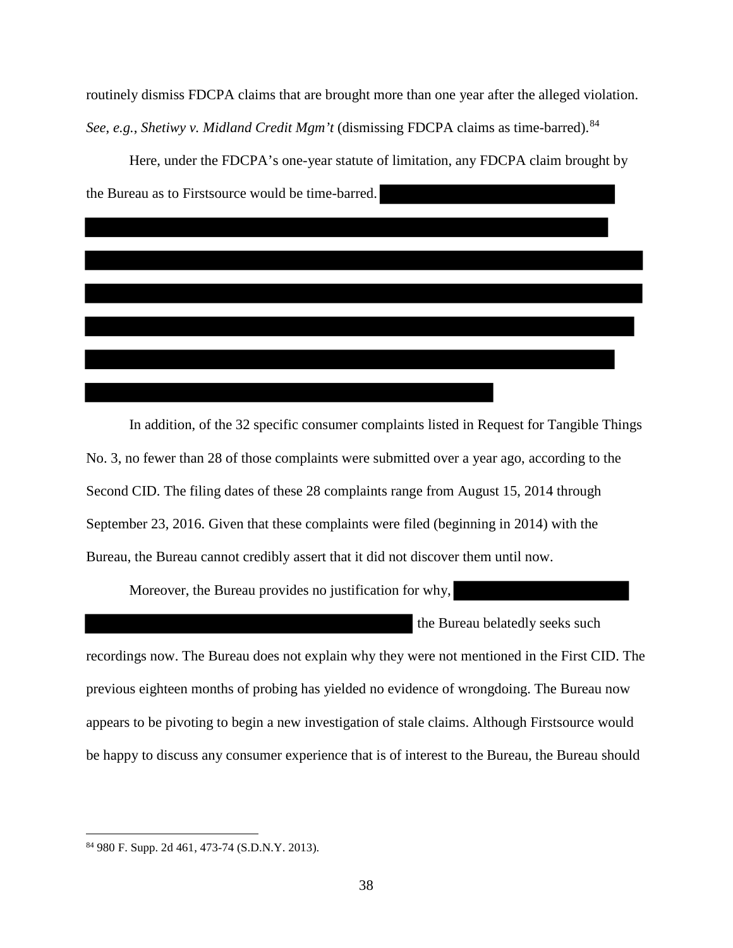routinely dismiss FDCPA claims that are brought more than one year after the alleged violation. *See, e.g., Shetiwy v. Midland Credit Mgm't* (dismissing FDCPA claims as time-barred).<sup>84</sup>

Here, under the FDCPA's one-year statute of limitation, any FDCPA claim brought by the Bureau as to Firstsource would be time-barred.

In addition, of the 32 specific consumer complaints listed in Request for Tangible Things No. 3, no fewer than 28 of those complaints were submitted over a year ago, according to the Second CID. The filing dates of these 28 complaints range from August 15, 2014 through September 23, 2016. Given that these complaints were filed (beginning in 2014) with the Bureau, the Bureau cannot credibly assert that it did not discover them until now.

Moreover, the Bureau provides no justification for why,

the Bureau belatedly seeks such

recordings now. The Bureau does not explain why they were not mentioned in the First CID. The previous eighteen months of probing has yielded no evidence of wrongdoing. The Bureau now appears to be pivoting to begin a new investigation of stale claims. Although Firstsource would be happy to discuss any consumer experience that is of interest to the Bureau, the Bureau should

<sup>84</sup> 980 F. Supp. 2d 461, 473-74 (S.D.N.Y. 2013).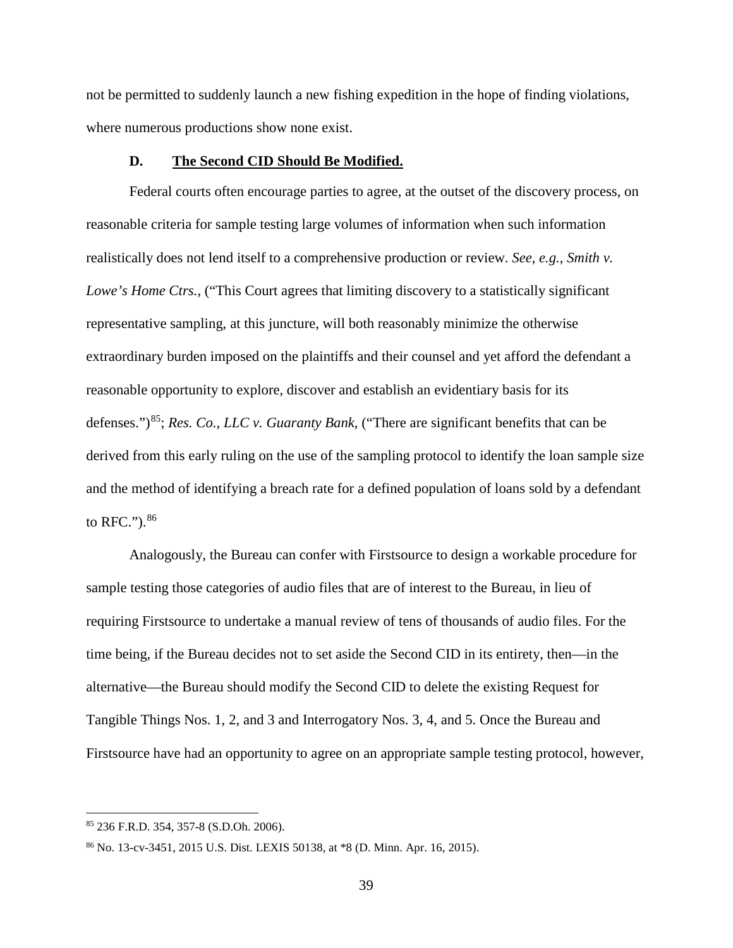not be permitted to suddenly launch a new fishing expedition in the hope of finding violations, where numerous productions show none exist.

### **D. The Second CID Should Be Modified.**

Federal courts often encourage parties to agree, at the outset of the discovery process, on reasonable criteria for sample testing large volumes of information when such information realistically does not lend itself to a comprehensive production or review. *See*, *e.g.*, *Smith v. Lowe's Home Ctrs.*, ("This Court agrees that limiting discovery to a statistically significant representative sampling, at this juncture, will both reasonably minimize the otherwise extraordinary burden imposed on the plaintiffs and their counsel and yet afford the defendant a reasonable opportunity to explore, discover and establish an evidentiary basis for its defenses.")85; *Res. Co., LLC v. Guaranty Bank*, ("There are significant benefits that can be derived from this early ruling on the use of the sampling protocol to identify the loan sample size and the method of identifying a breach rate for a defined population of loans sold by a defendant to RFC.").<sup>86</sup>

Analogously, the Bureau can confer with Firstsource to design a workable procedure for sample testing those categories of audio files that are of interest to the Bureau, in lieu of requiring Firstsource to undertake a manual review of tens of thousands of audio files. For the time being, if the Bureau decides not to set aside the Second CID in its entirety, then—in the alternative—the Bureau should modify the Second CID to delete the existing Request for Tangible Things Nos. 1, 2, and 3 and Interrogatory Nos. 3, 4, and 5. Once the Bureau and Firstsource have had an opportunity to agree on an appropriate sample testing protocol, however,

 <sup>85</sup> 236 F.R.D. 354, 357-8 (S.D.Oh. 2006).

<sup>86</sup> No. 13-cv-3451, 2015 U.S. Dist. LEXIS 50138, at \*8 (D. Minn. Apr. 16, 2015).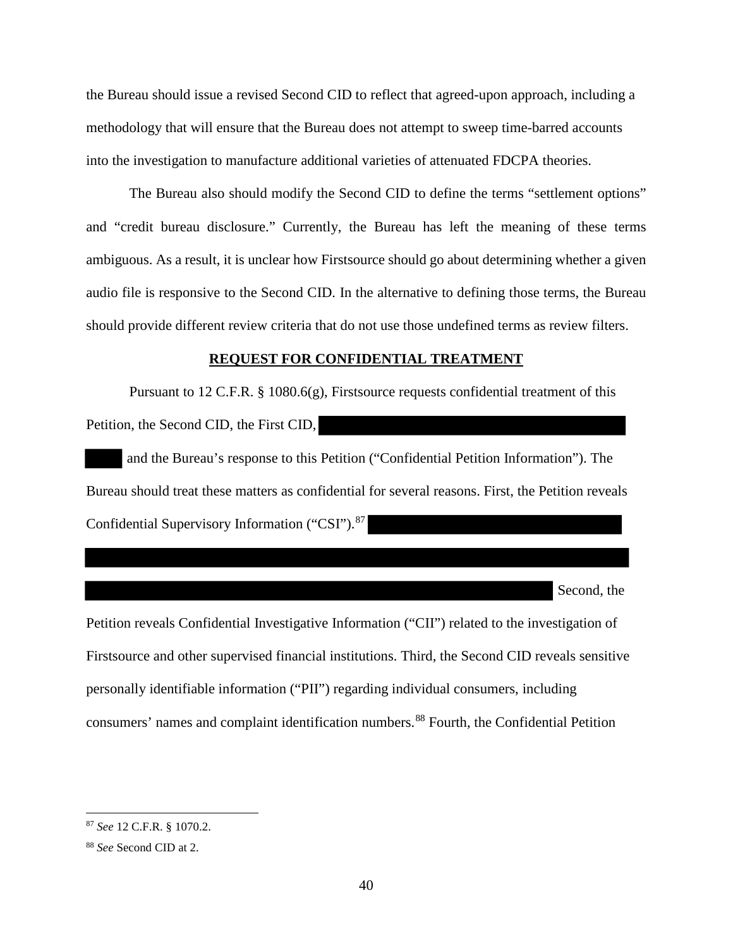the Bureau should issue a revised Second CID to reflect that agreed-upon approach, including a methodology that will ensure that the Bureau does not attempt to sweep time-barred accounts into the investigation to manufacture additional varieties of attenuated FDCPA theories.

The Bureau also should modify the Second CID to define the terms "settlement options" and "credit bureau disclosure." Currently, the Bureau has left the meaning of these terms ambiguous. As a result, it is unclear how Firstsource should go about determining whether a given audio file is responsive to the Second CID. In the alternative to defining those terms, the Bureau should provide different review criteria that do not use those undefined terms as review filters.

### **REQUEST FOR CONFIDENTIAL TREATMENT**

 Pursuant to 12 C.F.R. § 1080.6(g), Firstsource requests confidential treatment of this Petition, the Second CID, the First CID,

and the Bureau's response to this Petition ("Confidential Petition Information"). The Bureau should treat these matters as confidential for several reasons. First, the Petition reveals Confidential Supervisory Information ("CSI"). 87

Second, the

Petition reveals Confidential Investigative Information ("CII") related to the investigation of Firstsource and other supervised financial institutions. Third, the Second CID reveals sensitive personally identifiable information ("PII") regarding individual consumers, including consumers' names and complaint identification numbers.88 Fourth, the Confidential Petition

<sup>87</sup> *See* 12 C.F.R. § 1070.2.

<sup>88</sup> *See* Second CID at 2.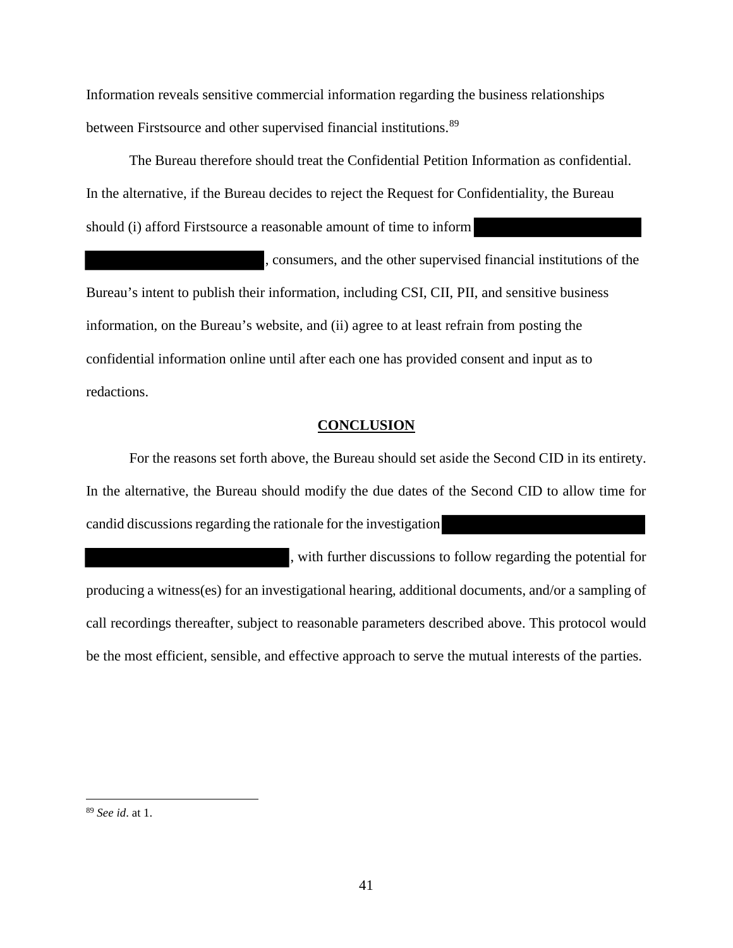Information reveals sensitive commercial information regarding the business relationships between Firstsource and other supervised financial institutions.<sup>89</sup>

The Bureau therefore should treat the Confidential Petition Information as confidential. In the alternative, if the Bureau decides to reject the Request for Confidentiality, the Bureau should (i) afford Firstsource a reasonable amount of time to inform

, consumers, and the other supervised financial institutions of the Bureau's intent to publish their information, including CSI, CII, PII, and sensitive business information, on the Bureau's website, and (ii) agree to at least refrain from posting the confidential information online until after each one has provided consent and input as to redactions.

## **CONCLUSION**

For the reasons set forth above, the Bureau should set aside the Second CID in its entirety. In the alternative, the Bureau should modify the due dates of the Second CID to allow time for candid discussions regarding the rationale for the investigation

, with further discussions to follow regarding the potential for producing a witness(es) for an investigational hearing, additional documents, and/or a sampling of call recordings thereafter, subject to reasonable parameters described above. This protocol would be the most efficient, sensible, and effective approach to serve the mutual interests of the parties.

<sup>89</sup> *See id*. at 1.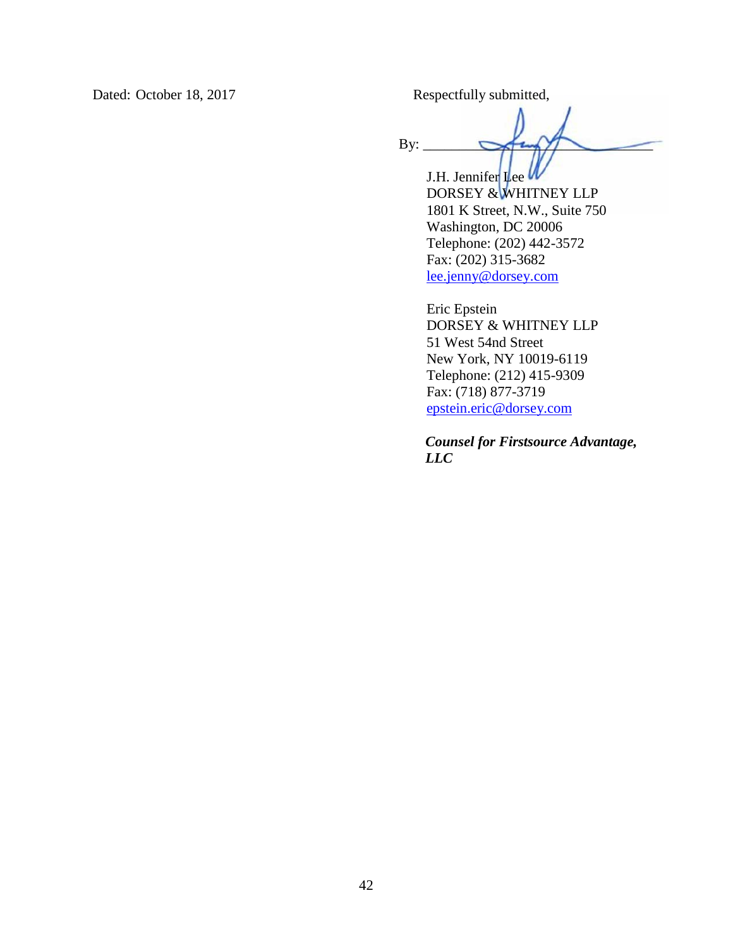Dated: October 18, 2017 Respectfully submitted,

By:  $\qquad \qquad \blacksquare$ 

J.H. Jennifer Lee DORSEY & WHITNEY LLP 1801 K Street, N.W., Suite 750 Washington, DC 20006 Telephone: (202) 442-3572 Fax: (202) 315-3682 lee.jenny@dorsey.com

Eric Epstein DORSEY & WHITNEY LLP 51 West 54nd Street New York, NY 10019-6119 Telephone: (212) 415-9309 Fax: (718) 877-3719 epstein.eric@dorsey.com

*Counsel for Firstsource Advantage, LLC*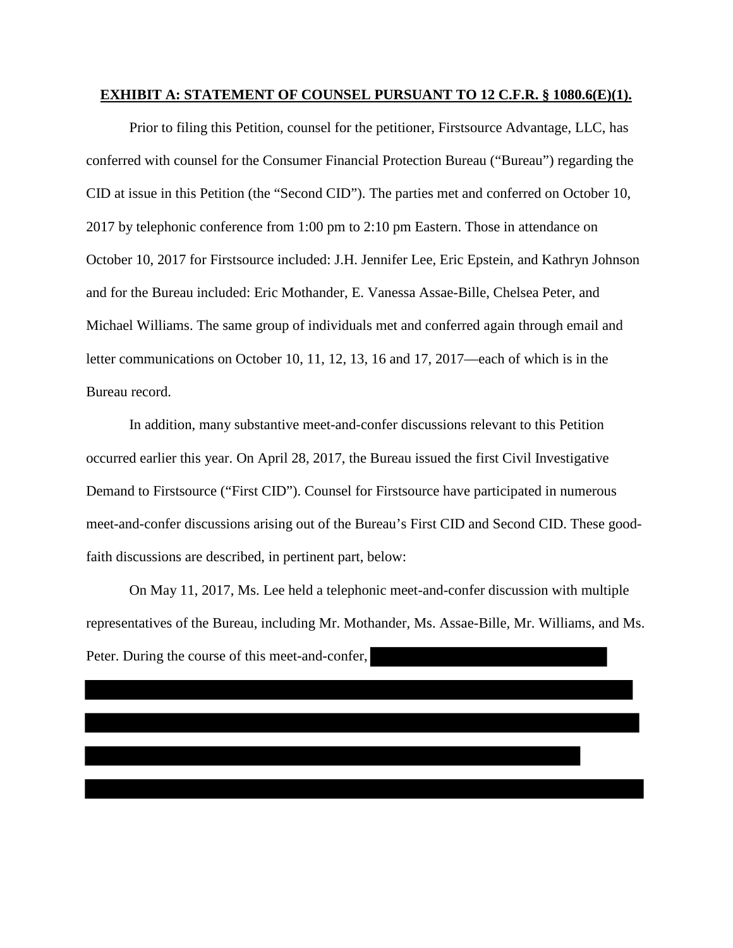### **EXHIBIT A: STATEMENT OF COUNSEL PURSUANT TO 12 C.F.R. § 1080.6(E)(1).**

Prior to filing this Petition, counsel for the petitioner, Firstsource Advantage, LLC, has conferred with counsel for the Consumer Financial Protection Bureau ("Bureau") regarding the CID at issue in this Petition (the "Second CID"). The parties met and conferred on October 10, 2017 by telephonic conference from 1:00 pm to 2:10 pm Eastern. Those in attendance on October 10, 2017 for Firstsource included: J.H. Jennifer Lee, Eric Epstein, and Kathryn Johnson and for the Bureau included: Eric Mothander, E. Vanessa Assae-Bille, Chelsea Peter, and Michael Williams. The same group of individuals met and conferred again through email and letter communications on October 10, 11, 12, 13, 16 and 17, 2017—each of which is in the Bureau record.

In addition, many substantive meet-and-confer discussions relevant to this Petition occurred earlier this year. On April 28, 2017, the Bureau issued the first Civil Investigative Demand to Firstsource ("First CID"). Counsel for Firstsource have participated in numerous meet-and-confer discussions arising out of the Bureau's First CID and Second CID. These goodfaith discussions are described, in pertinent part, below:

On May 11, 2017, Ms. Lee held a telephonic meet-and-confer discussion with multiple representatives of the Bureau, including Mr. Mothander, Ms. Assae-Bille, Mr. Williams, and Ms. Peter. During the course of this meet-and-confer,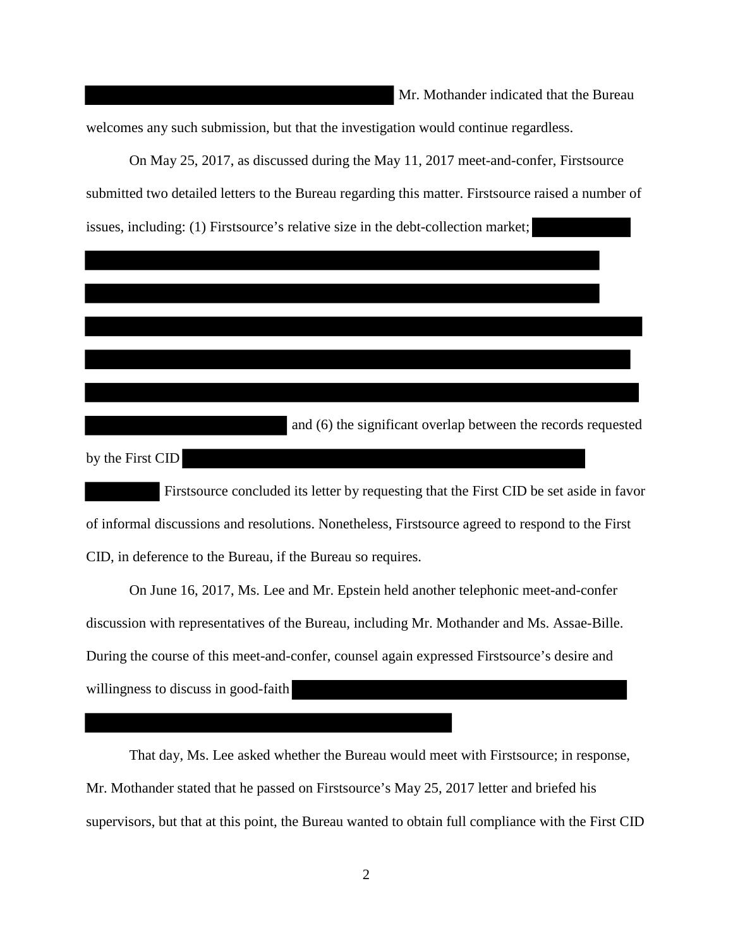Mr. Mothander indicated that the Bureau

welcomes any such submission, but that the investigation would continue regardless.

On May 25, 2017, as discussed during the May 11, 2017 meet-and-confer, Firstsource submitted two detailed letters to the Bureau regarding this matter. Firstsource raised a number of issues, including: (1) Firstsource's relative size in the debt-collection market;

and (6) the significant overlap between the records requested

by the First CID

 Firstsource concluded its letter by requesting that the First CID be set aside in favor of informal discussions and resolutions. Nonetheless, Firstsource agreed to respond to the First CID, in deference to the Bureau, if the Bureau so requires.

On June 16, 2017, Ms. Lee and Mr. Epstein held another telephonic meet-and-confer discussion with representatives of the Bureau, including Mr. Mothander and Ms. Assae-Bille. During the course of this meet-and-confer, counsel again expressed Firstsource's desire and willingness to discuss in good-faith

That day, Ms. Lee asked whether the Bureau would meet with Firstsource; in response, Mr. Mothander stated that he passed on Firstsource's May 25, 2017 letter and briefed his supervisors, but that at this point, the Bureau wanted to obtain full compliance with the First CID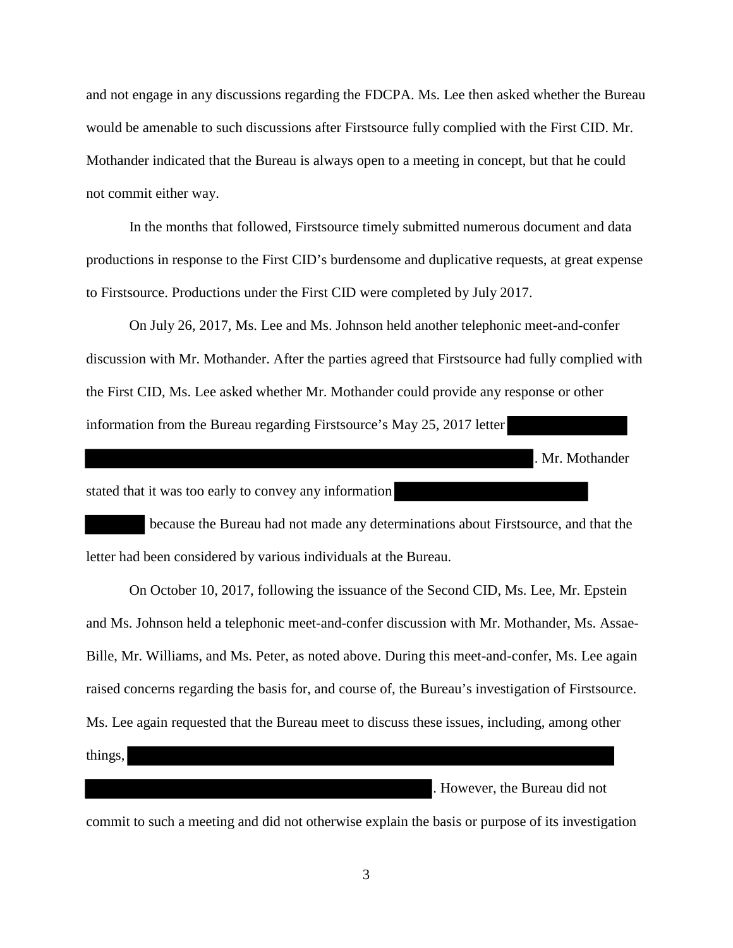and not engage in any discussions regarding the FDCPA. Ms. Lee then asked whether the Bureau would be amenable to such discussions after Firstsource fully complied with the First CID. Mr. Mothander indicated that the Bureau is always open to a meeting in concept, but that he could not commit either way.

In the months that followed, Firstsource timely submitted numerous document and data productions in response to the First CID's burdensome and duplicative requests, at great expense to Firstsource. Productions under the First CID were completed by July 2017.

On July 26, 2017, Ms. Lee and Ms. Johnson held another telephonic meet-and-confer discussion with Mr. Mothander. After the parties agreed that Firstsource had fully complied with the First CID, Ms. Lee asked whether Mr. Mothander could provide any response or other information from the Bureau regarding Firstsource's May 25, 2017 letter

. Mr. Mothander

stated that it was too early to convey any information

because the Bureau had not made any determinations about Firstsource, and that the letter had been considered by various individuals at the Bureau.

On October 10, 2017, following the issuance of the Second CID, Ms. Lee, Mr. Epstein and Ms. Johnson held a telephonic meet-and-confer discussion with Mr. Mothander, Ms. Assae-Bille, Mr. Williams, and Ms. Peter, as noted above. During this meet-and-confer, Ms. Lee again raised concerns regarding the basis for, and course of, the Bureau's investigation of Firstsource. Ms. Lee again requested that the Bureau meet to discuss these issues, including, among other things,

. However, the Bureau did not

commit to such a meeting and did not otherwise explain the basis or purpose of its investigation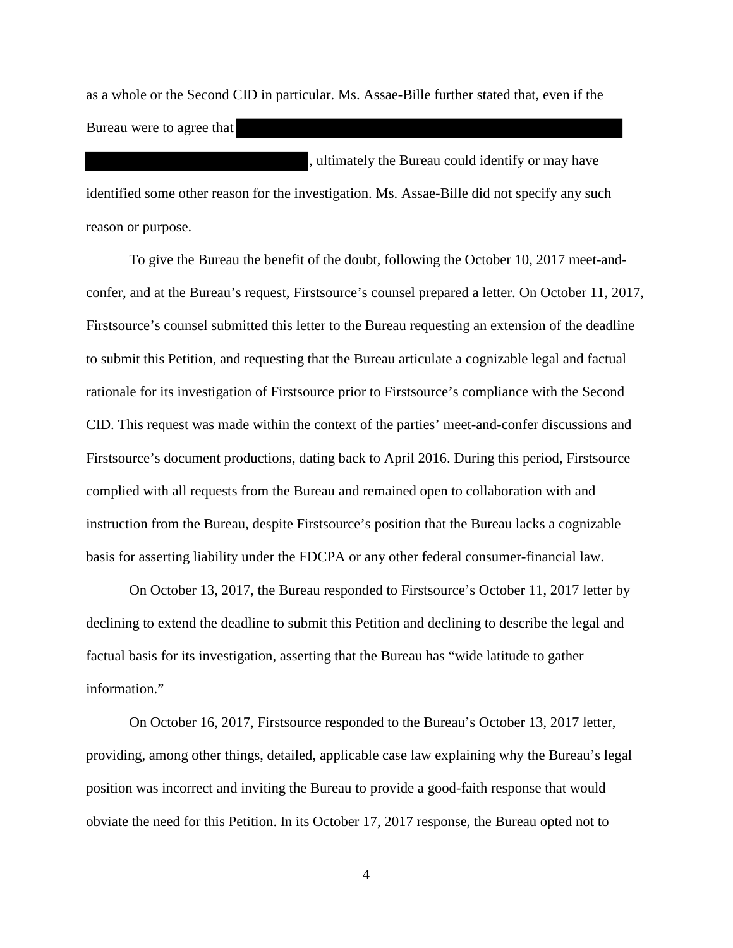as a whole or the Second CID in particular. Ms. Assae-Bille further stated that, even if the Bureau were to agree that

, ultimately the Bureau could identify or may have identified some other reason for the investigation. Ms. Assae-Bille did not specify any such reason or purpose.

To give the Bureau the benefit of the doubt, following the October 10, 2017 meet-andconfer, and at the Bureau's request, Firstsource's counsel prepared a letter. On October 11, 2017, Firstsource's counsel submitted this letter to the Bureau requesting an extension of the deadline to submit this Petition, and requesting that the Bureau articulate a cognizable legal and factual rationale for its investigation of Firstsource prior to Firstsource's compliance with the Second CID. This request was made within the context of the parties' meet-and-confer discussions and Firstsource's document productions, dating back to April 2016. During this period, Firstsource complied with all requests from the Bureau and remained open to collaboration with and instruction from the Bureau, despite Firstsource's position that the Bureau lacks a cognizable basis for asserting liability under the FDCPA or any other federal consumer-financial law.

On October 13, 2017, the Bureau responded to Firstsource's October 11, 2017 letter by declining to extend the deadline to submit this Petition and declining to describe the legal and factual basis for its investigation, asserting that the Bureau has "wide latitude to gather information."

On October 16, 2017, Firstsource responded to the Bureau's October 13, 2017 letter, providing, among other things, detailed, applicable case law explaining why the Bureau's legal position was incorrect and inviting the Bureau to provide a good-faith response that would obviate the need for this Petition. In its October 17, 2017 response, the Bureau opted not to

4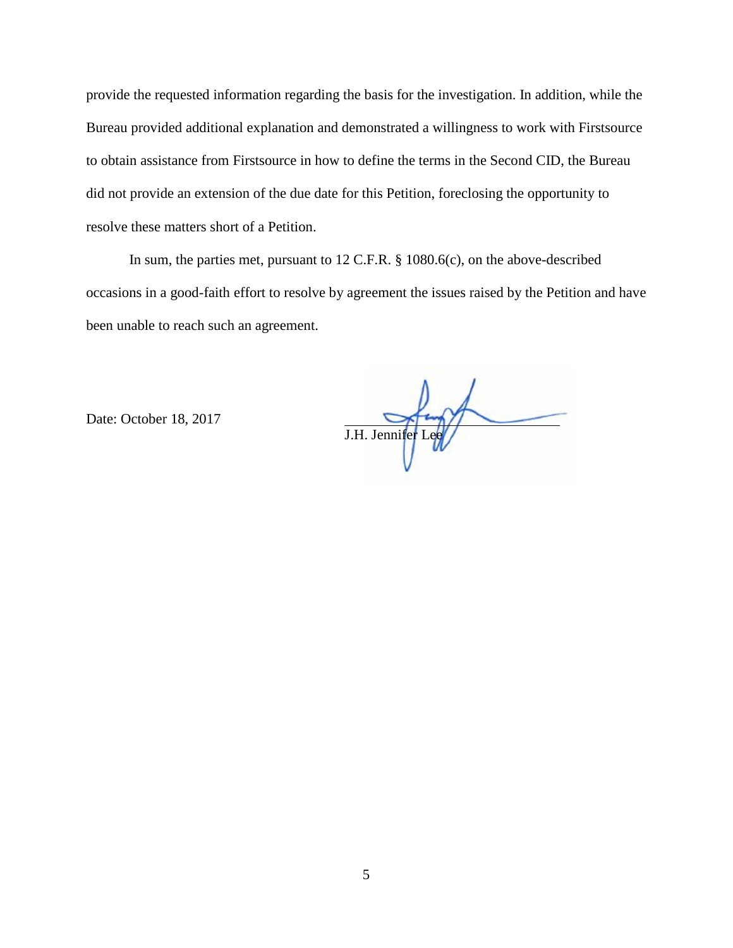provide the requested information regarding the basis for the investigation. In addition, while the Bureau provided additional explanation and demonstrated a willingness to work with Firstsource to obtain assistance from Firstsource in how to define the terms in the Second CID, the Bureau did not provide an extension of the due date for this Petition, foreclosing the opportunity to resolve these matters short of a Petition.

In sum, the parties met, pursuant to 12 C.F.R. § 1080.6(c), on the above-described occasions in a good-faith effort to resolve by agreement the issues raised by the Petition and have been unable to reach such an agreement.

Date: October 18, 2017

 $J.H.$  Jennifer Lee